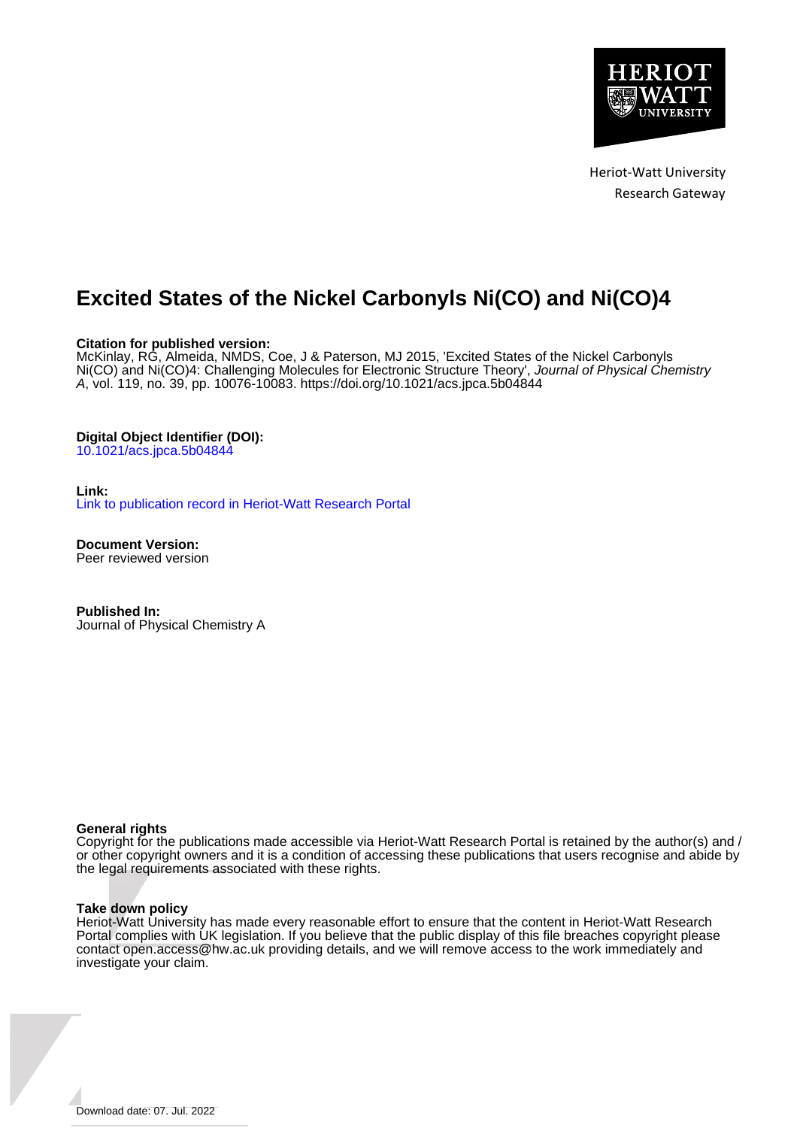

Heriot-Watt University Research Gateway

# **Excited States of the Nickel Carbonyls Ni(CO) and Ni(CO)4**

#### **Citation for published version:**

McKinlay, RG, Almeida, NMDS, Coe, J & Paterson, MJ 2015, 'Excited States of the Nickel Carbonyls Ni(CO) and Ni(CO)4: Challenging Molecules for Electronic Structure Theory', Journal of Physical Chemistry A, vol. 119, no. 39, pp. 10076-10083.<https://doi.org/10.1021/acs.jpca.5b04844>

#### **Digital Object Identifier (DOI):**

[10.1021/acs.jpca.5b04844](https://doi.org/10.1021/acs.jpca.5b04844)

#### **Link:**

[Link to publication record in Heriot-Watt Research Portal](https://researchportal.hw.ac.uk/en/publications/20d751e3-3632-41d6-a52d-9e127c1a2b11)

**Document Version:** Peer reviewed version

**Published In:** Journal of Physical Chemistry A

#### **General rights**

Copyright for the publications made accessible via Heriot-Watt Research Portal is retained by the author(s) and / or other copyright owners and it is a condition of accessing these publications that users recognise and abide by the legal requirements associated with these rights.

#### **Take down policy**

Heriot-Watt University has made every reasonable effort to ensure that the content in Heriot-Watt Research Portal complies with UK legislation. If you believe that the public display of this file breaches copyright please contact open.access@hw.ac.uk providing details, and we will remove access to the work immediately and investigate your claim.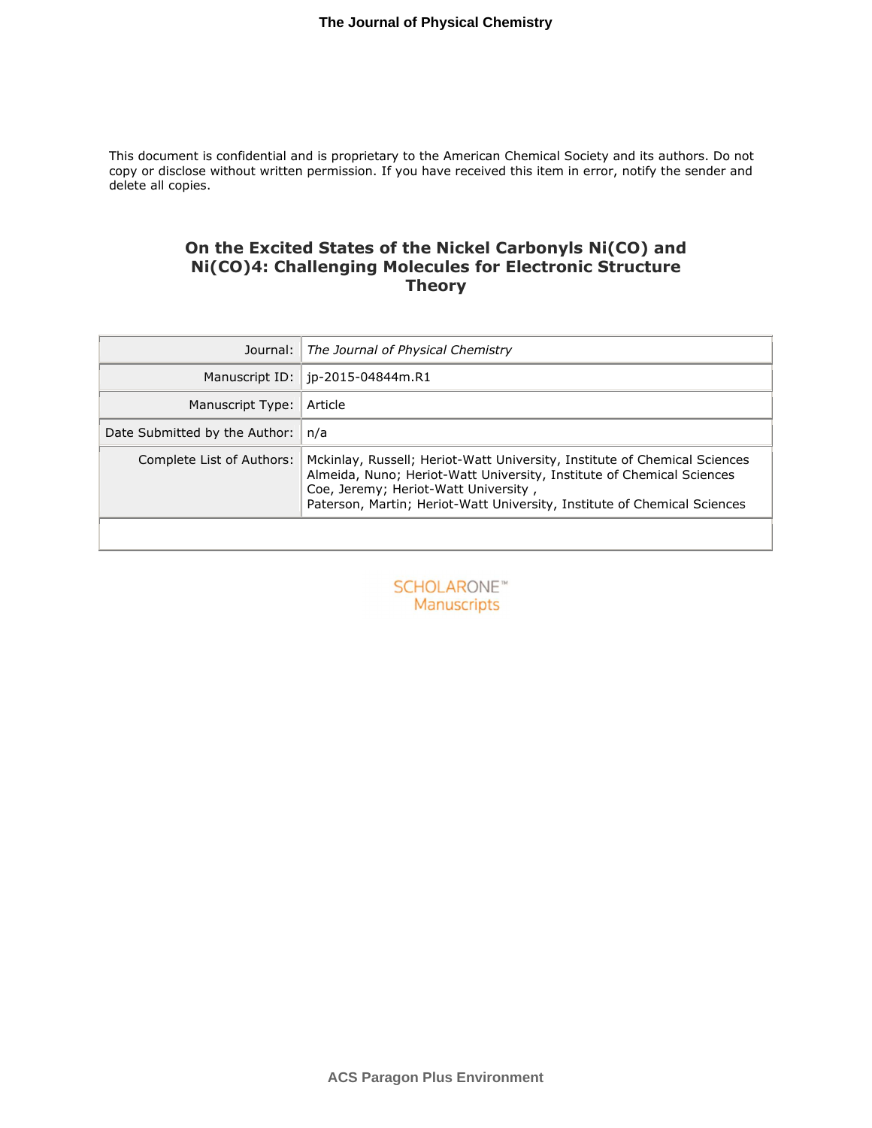This document is confidential and is proprietary to the American Chemical Society and its authors. Do not copy or disclose without written permission. If you have received this item in error, notify the sender and delete all copies.

## **On the Excited States of the Nickel Carbonyls Ni(CO) and Ni(CO)4: Challenging Molecules for Electronic Structure Theory**

| Journal:                      | The Journal of Physical Chemistry                                                                                                                                                                                                                                      |
|-------------------------------|------------------------------------------------------------------------------------------------------------------------------------------------------------------------------------------------------------------------------------------------------------------------|
|                               | Manuscript ID:   jp-2015-04844m.R1                                                                                                                                                                                                                                     |
| Manuscript Type:              | Article                                                                                                                                                                                                                                                                |
| Date Submitted by the Author: | n/a                                                                                                                                                                                                                                                                    |
| Complete List of Authors:     | Mckinlay, Russell; Heriot-Watt University, Institute of Chemical Sciences<br>Almeida, Nuno; Heriot-Watt University, Institute of Chemical Sciences<br>Coe, Jeremy; Heriot-Watt University,<br>Paterson, Martin; Heriot-Watt University, Institute of Chemical Sciences |

**SCHOLARONE™** Manuscripts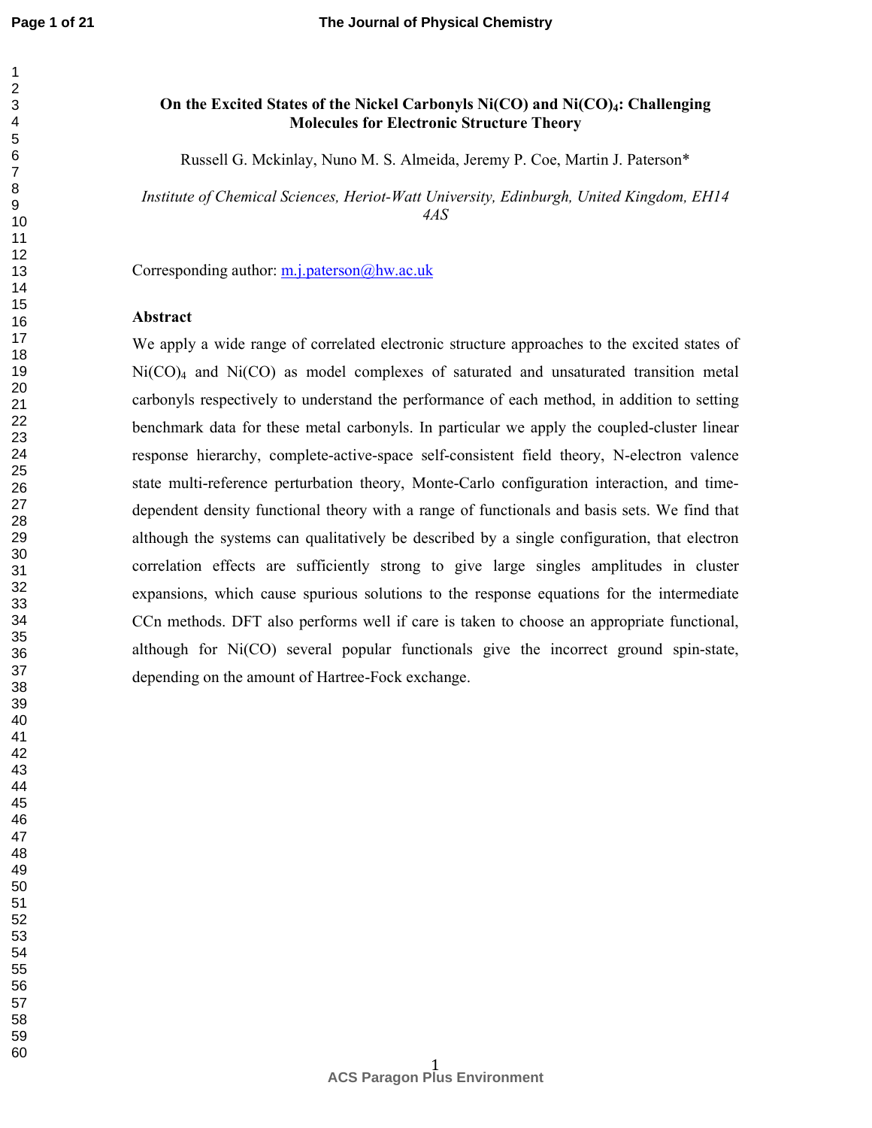**Page 1 of 21**

## **On the Excited States of the Nickel Carbonyls Ni(CO) and Ni(CO)4: Challenging Molecules for Electronic Structure Theory**

Russell G. Mckinlay, Nuno M. S. Almeida, Jeremy P. Coe, Martin J. Paterson\*

*Institute of Chemical Sciences, Heriot-Watt University, Edinburgh, United Kingdom, EH14 4AS* 

Corresponding author: m.j.paterson@hw.ac.uk

## **Abstract**

We apply a wide range of correlated electronic structure approaches to the excited states of  $Ni(CO)<sub>4</sub>$  and  $Ni(CO)$  as model complexes of saturated and unsaturated transition metal carbonyls respectively to understand the performance of each method, in addition to setting benchmark data for these metal carbonyls. In particular we apply the coupled-cluster linear response hierarchy, complete-active-space self-consistent field theory, N-electron valence state multi-reference perturbation theory, Monte-Carlo configuration interaction, and timedependent density functional theory with a range of functionals and basis sets. We find that although the systems can qualitatively be described by a single configuration, that electron correlation effects are sufficiently strong to give large singles amplitudes in cluster expansions, which cause spurious solutions to the response equations for the intermediate CCn methods. DFT also performs well if care is taken to choose an appropriate functional, although for Ni(CO) several popular functionals give the incorrect ground spin-state, depending on the amount of Hartree-Fock exchange.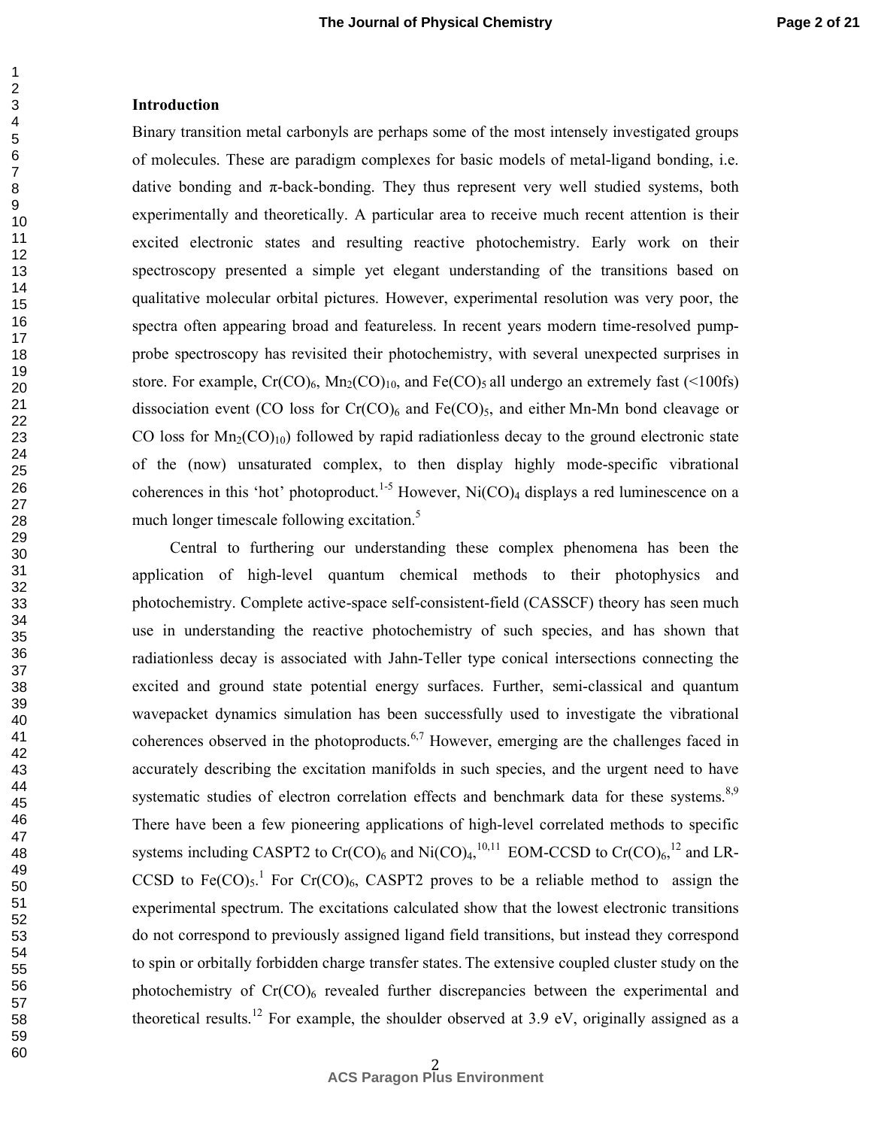#### **Introduction**

Binary transition metal carbonyls are perhaps some of the most intensely investigated groups of molecules. These are paradigm complexes for basic models of metal-ligand bonding, i.e. dative bonding and  $\pi$ -back-bonding. They thus represent very well studied systems, both experimentally and theoretically. A particular area to receive much recent attention is their excited electronic states and resulting reactive photochemistry. Early work on their spectroscopy presented a simple yet elegant understanding of the transitions based on qualitative molecular orbital pictures. However, experimental resolution was very poor, the spectra often appearing broad and featureless. In recent years modern time-resolved pumpprobe spectroscopy has revisited their photochemistry, with several unexpected surprises in store. For example,  $Cr(CO)_6$ ,  $Mn_2(CO)_{10}$ , and  $Fe(CO)_5$  all undergo an extremely fast (<100fs) dissociation event (CO loss for  $Cr(CO)_6$  and  $Fe(CO)_5$ , and either Mn-Mn bond cleavage or CO loss for  $Mn_2(CO)_{10}$  followed by rapid radiationless decay to the ground electronic state of the (now) unsaturated complex, to then display highly mode-specific vibrational coherences in this 'hot' photoproduct.<sup>1-5</sup> However, Ni(CO)<sub>4</sub> displays a red luminescence on a much longer timescale following excitation.<sup>5</sup>

Central to furthering our understanding these complex phenomena has been the application of high-level quantum chemical methods to their photophysics and photochemistry. Complete active-space self-consistent-field (CASSCF) theory has seen much use in understanding the reactive photochemistry of such species, and has shown that radiationless decay is associated with Jahn-Teller type conical intersections connecting the excited and ground state potential energy surfaces. Further, semi-classical and quantum wavepacket dynamics simulation has been successfully used to investigate the vibrational coherences observed in the photoproducts.6,7 However, emerging are the challenges faced in accurately describing the excitation manifolds in such species, and the urgent need to have systematic studies of electron correlation effects and benchmark data for these systems.<sup>8,9</sup> There have been a few pioneering applications of high-level correlated methods to specific systems including CASPT2 to Cr(CO)<sub>6</sub> and Ni(CO)<sub>4</sub>,<sup>10,11</sup> EOM-CCSD to Cr(CO)<sub>6</sub>,<sup>12</sup> and LR-CCSD to Fe(CO)<sub>5</sub>.<sup>1</sup> For Cr(CO)<sub>6</sub>, CASPT2 proves to be a reliable method to assign the experimental spectrum. The excitations calculated show that the lowest electronic transitions do not correspond to previously assigned ligand field transitions, but instead they correspond to spin or orbitally forbidden charge transfer states. The extensive coupled cluster study on the photochemistry of  $Cr(CO)$ <sub>6</sub> revealed further discrepancies between the experimental and theoretical results.<sup>12</sup> For example, the shoulder observed at 3.9 eV, originally assigned as a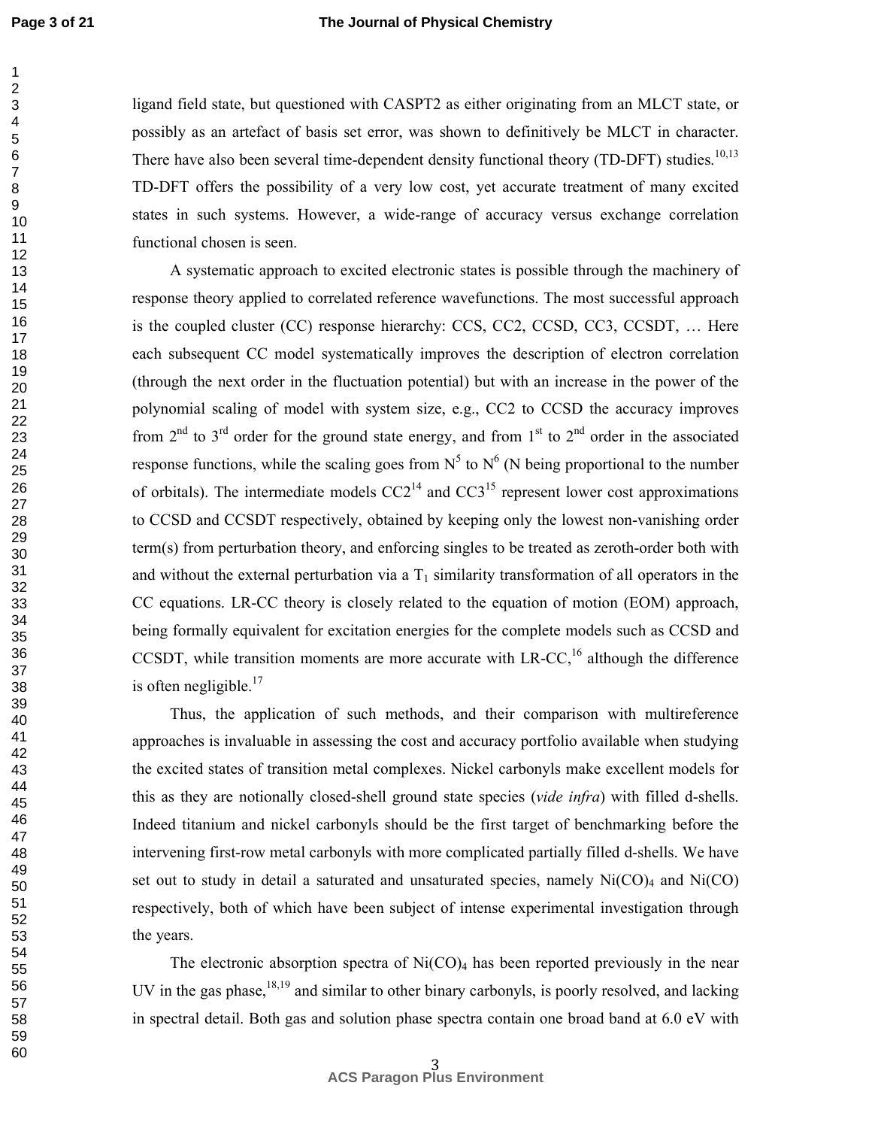#### **The Journal of Physical Chemistry**

ligand field state, but questioned with CASPT2 as either originating from an MLCT state, or possibly as an artefact of basis set error, was shown to definitively be MLCT in character. There have also been several time-dependent density functional theory (TD-DFT) studies.<sup>10,13</sup> TD-DFT offers the possibility of a very low cost, yet accurate treatment of many excited states in such systems. However, a wide-range of accuracy versus exchange correlation functional chosen is seen.

A systematic approach to excited electronic states is possible through the machinery of response theory applied to correlated reference wavefunctions. The most successful approach is the coupled cluster (CC) response hierarchy: CCS, CC2, CCSD, CC3, CCSDT, … Here each subsequent CC model systematically improves the description of electron correlation (through the next order in the fluctuation potential) but with an increase in the power of the polynomial scaling of model with system size, e.g., CC2 to CCSD the accuracy improves from  $2^{nd}$  to  $3^{rd}$  order for the ground state energy, and from  $1^{st}$  to  $2^{nd}$  order in the associated response functions, while the scaling goes from  $N^5$  to  $N^6$  (N being proportional to the number of orbitals). The intermediate models  $CC2<sup>14</sup>$  and  $CC3<sup>15</sup>$  represent lower cost approximations to CCSD and CCSDT respectively, obtained by keeping only the lowest non-vanishing order term(s) from perturbation theory, and enforcing singles to be treated as zeroth-order both with and without the external perturbation via a  $T_1$  similarity transformation of all operators in the CC equations. LR-CC theory is closely related to the equation of motion (EOM) approach, being formally equivalent for excitation energies for the complete models such as CCSD and CCSDT, while transition moments are more accurate with  $LR-CC$ ,<sup>16</sup> although the difference is often negligible.

Thus, the application of such methods, and their comparison with multireference approaches is invaluable in assessing the cost and accuracy portfolio available when studying the excited states of transition metal complexes. Nickel carbonyls make excellent models for this as they are notionally closed-shell ground state species (*vide infra*) with filled d-shells. Indeed titanium and nickel carbonyls should be the first target of benchmarking before the intervening first-row metal carbonyls with more complicated partially filled d-shells. We have set out to study in detail a saturated and unsaturated species, namely  $Ni(CO)_4$  and  $Ni(CO)$ respectively, both of which have been subject of intense experimental investigation through the years.

The electronic absorption spectra of  $Ni(CO)_4$  has been reported previously in the near UV in the gas phase,  $18,19$  and similar to other binary carbonyls, is poorly resolved, and lacking in spectral detail. Both gas and solution phase spectra contain one broad band at 6.0 eV with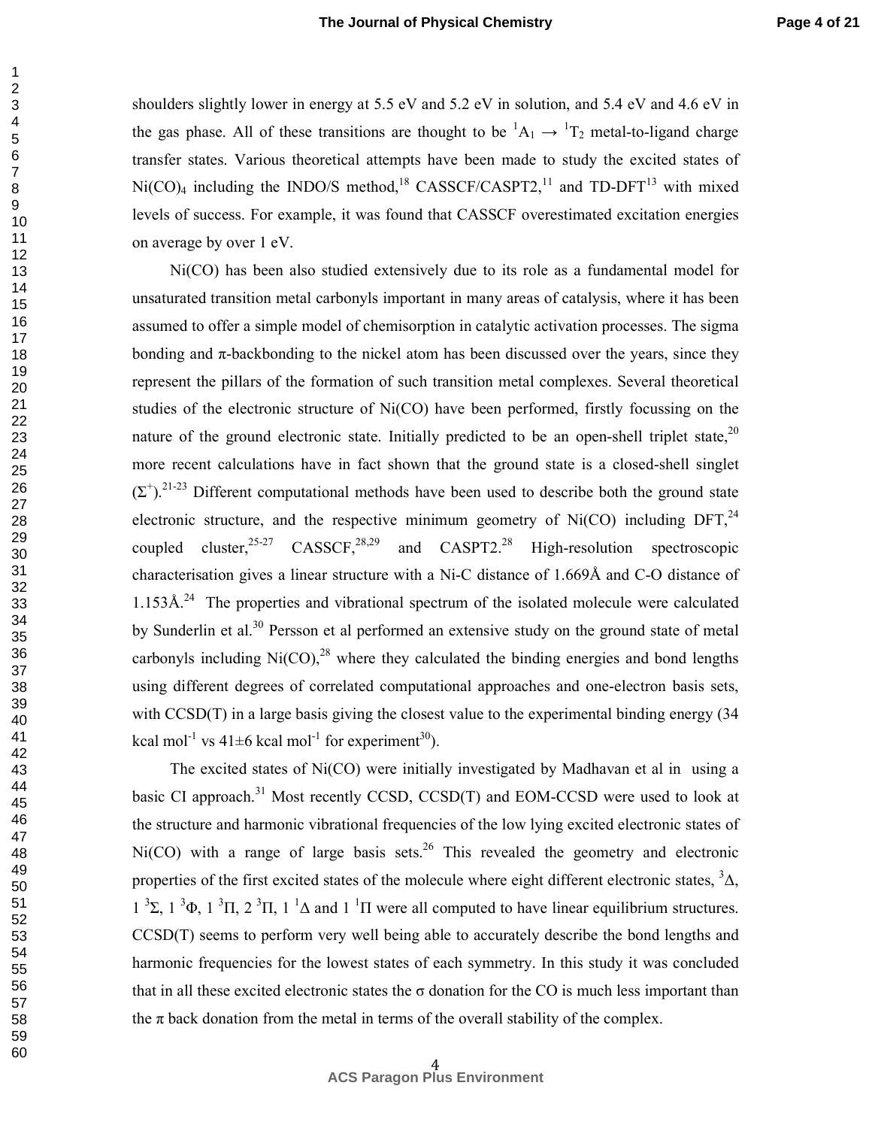shoulders slightly lower in energy at 5.5 eV and 5.2 eV in solution, and 5.4 eV and 4.6 eV in the gas phase. All of these transitions are thought to be  ${}^{1}A_{1} \rightarrow {}^{1}T_{2}$  metal-to-ligand charge transfer states. Various theoretical attempts have been made to study the excited states of  $Ni(CO)<sub>4</sub>$  including the INDO/S method,<sup>18</sup> CASSCF/CASPT2,<sup>11</sup> and TD-DFT<sup>13</sup> with mixed levels of success. For example, it was found that CASSCF overestimated excitation energies on average by over 1 eV.

Ni(CO) has been also studied extensively due to its role as a fundamental model for unsaturated transition metal carbonyls important in many areas of catalysis, where it has been assumed to offer a simple model of chemisorption in catalytic activation processes. The sigma bonding and  $\pi$ -backbonding to the nickel atom has been discussed over the years, since they represent the pillars of the formation of such transition metal complexes. Several theoretical studies of the electronic structure of Ni(CO) have been performed, firstly focussing on the nature of the ground electronic state. Initially predicted to be an open-shell triplet state.<sup>20</sup> more recent calculations have in fact shown that the ground state is a closed-shell singlet  $(\Sigma^{\dagger})$ .<sup>21-23</sup> Different computational methods have been used to describe both the ground state electronic structure, and the respective minimum geometry of Ni(CO) including DFT, $^{24}$ coupled cluster, <sup>25-27</sup> CASSCF, <sup>28,29</sup> and CASPT2.<sup>28</sup> High-resolution spectroscopic characterisation gives a linear structure with a Ni-C distance of 1.669Å and C-O distance of  $1.153\text{\AA}^{24}$  The properties and vibrational spectrum of the isolated molecule were calculated by Sunderlin et al.<sup>30</sup> Persson et al performed an extensive study on the ground state of metal carbonyls including  $Ni(CO)$ , <sup>28</sup> where they calculated the binding energies and bond lengths using different degrees of correlated computational approaches and one-electron basis sets, with CCSD(T) in a large basis giving the closest value to the experimental binding energy (34) kcal mol<sup>-1</sup> vs  $41\pm6$  kcal mol<sup>-1</sup> for experiment<sup>30</sup>).

The excited states of Ni(CO) were initially investigated by Madhavan et al in using a basic CI approach.<sup>31</sup> Most recently CCSD, CCSD(T) and EOM-CCSD were used to look at the structure and harmonic vibrational frequencies of the low lying excited electronic states of  $Ni(CO)$  with a range of large basis sets.<sup>26</sup> This revealed the geometry and electronic properties of the first excited states of the molecule where eight different electronic states,  $3\Delta$ , 1<sup>3</sup>Σ, 1<sup>3</sup>Φ, 1<sup>3</sup>Π, 2<sup>3</sup>Π, 1<sup>1</sup>Δ and 1<sup>1</sup>Π were all computed to have linear equilibrium structures. CCSD(T) seems to perform very well being able to accurately describe the bond lengths and harmonic frequencies for the lowest states of each symmetry. In this study it was concluded that in all these excited electronic states the σ donation for the CO is much less important than the  $\pi$  back donation from the metal in terms of the overall stability of the complex.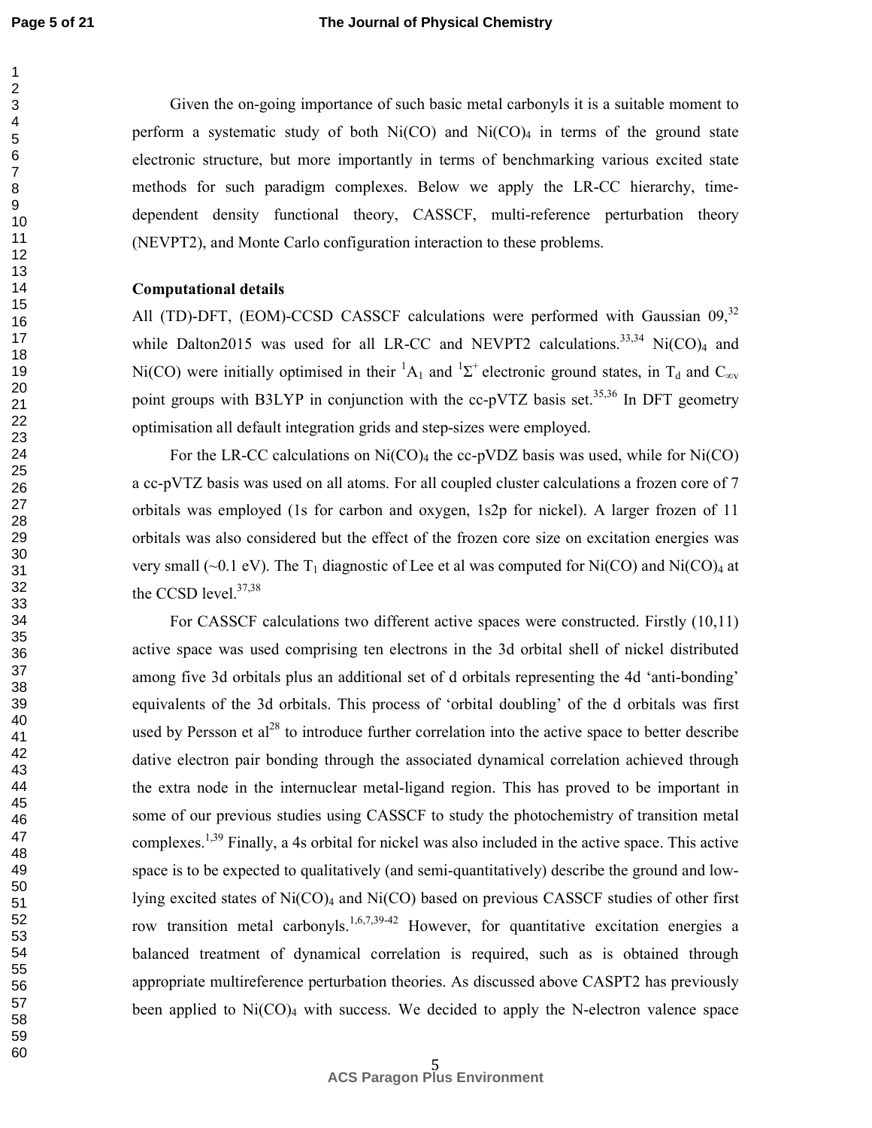#### **The Journal of Physical Chemistry**

Given the on-going importance of such basic metal carbonyls it is a suitable moment to perform a systematic study of both  $Ni(CO)$  and  $Ni(CO)_4$  in terms of the ground state electronic structure, but more importantly in terms of benchmarking various excited state methods for such paradigm complexes. Below we apply the LR-CC hierarchy, timedependent density functional theory, CASSCF, multi-reference perturbation theory (NEVPT2), and Monte Carlo configuration interaction to these problems.

### **Computational details**

All (TD)-DFT, (EOM)-CCSD CASSCF calculations were performed with Gaussian 09,<sup>32</sup> while Dalton2015 was used for all LR-CC and NEVPT2 calculations.<sup>33,34</sup> Ni(CO)<sub>4</sub> and Ni(CO) were initially optimised in their  ${}^{1}A_1$  and  ${}^{1}\Sigma^+$  electronic ground states, in T<sub>d</sub> and C<sub>∞v</sub> point groups with B3LYP in conjunction with the  $cc$ -pVTZ basis set.<sup>35,36</sup> In DFT geometry optimisation all default integration grids and step-sizes were employed.

For the LR-CC calculations on  $Ni(CO)_4$  the cc-pVDZ basis was used, while for Ni(CO) a cc-pVTZ basis was used on all atoms. For all coupled cluster calculations a frozen core of 7 orbitals was employed (1s for carbon and oxygen, 1s2p for nickel). A larger frozen of 11 orbitals was also considered but the effect of the frozen core size on excitation energies was very small (~0.1 eV). The T<sub>1</sub> diagnostic of Lee et al was computed for Ni(CO) and Ni(CO)<sub>4</sub> at the CCSD level.<sup>37,38</sup>

For CASSCF calculations two different active spaces were constructed. Firstly (10,11) active space was used comprising ten electrons in the 3d orbital shell of nickel distributed among five 3d orbitals plus an additional set of d orbitals representing the 4d 'anti-bonding' equivalents of the 3d orbitals. This process of 'orbital doubling' of the d orbitals was first used by Persson et  $al^{28}$  to introduce further correlation into the active space to better describe dative electron pair bonding through the associated dynamical correlation achieved through the extra node in the internuclear metal-ligand region. This has proved to be important in some of our previous studies using CASSCF to study the photochemistry of transition metal complexes.<sup>1,39</sup> Finally, a 4s orbital for nickel was also included in the active space. This active space is to be expected to qualitatively (and semi-quantitatively) describe the ground and lowlying excited states of Ni(CO)4 and Ni(CO) based on previous CASSCF studies of other first row transition metal carbonyls.<sup>1,6,7,39-42</sup> However, for quantitative excitation energies a balanced treatment of dynamical correlation is required, such as is obtained through appropriate multireference perturbation theories. As discussed above CASPT2 has previously been applied to  $Ni(CO)_4$  with success. We decided to apply the N-electron valence space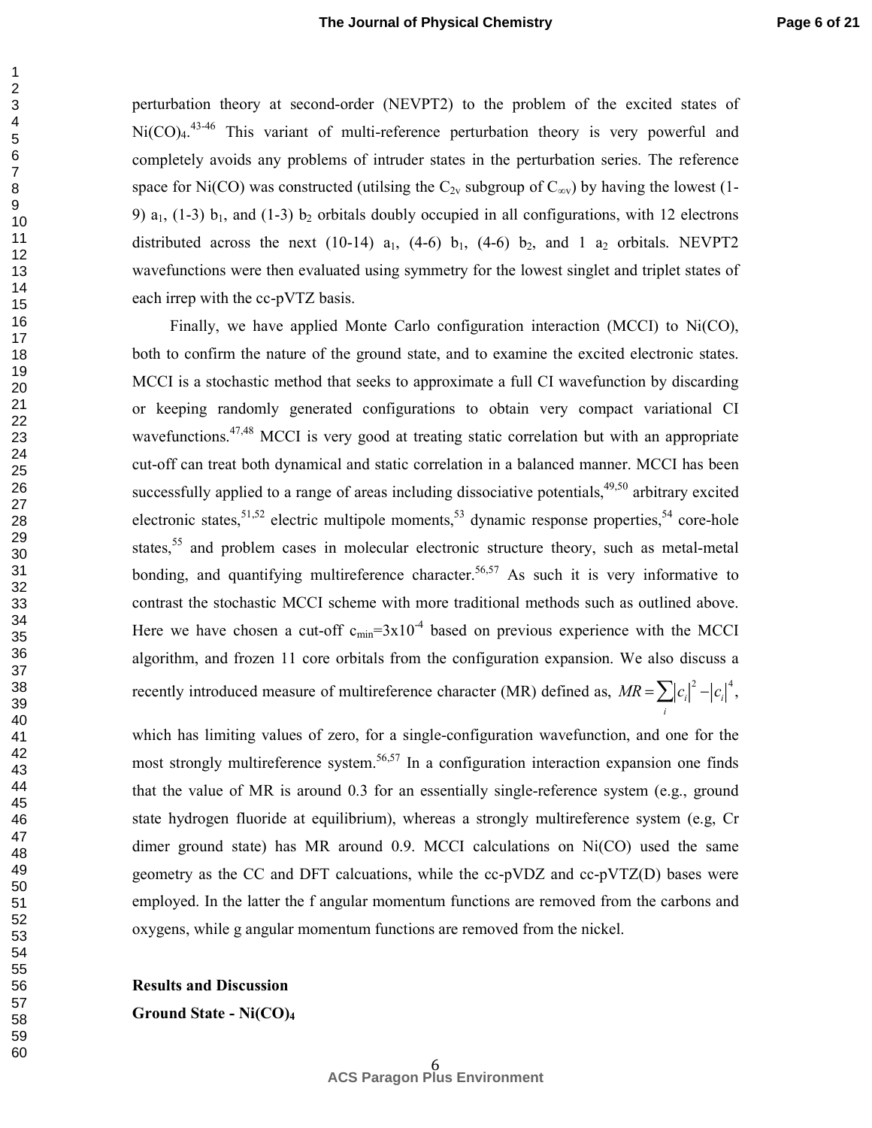perturbation theory at second-order (NEVPT2) to the problem of the excited states of  $Ni(CO)<sub>4</sub>$ <sup>43-46</sup> This variant of multi-reference perturbation theory is very powerful and completely avoids any problems of intruder states in the perturbation series. The reference space for Ni(CO) was constructed (utilsing the  $C_{2v}$  subgroup of  $C_{\infty v}$ ) by having the lowest (1-9)  $a_1$ , (1-3)  $b_1$ , and (1-3)  $b_2$  orbitals doubly occupied in all configurations, with 12 electrons distributed across the next (10-14)  $a_1$ , (4-6)  $b_1$ , (4-6)  $b_2$ , and 1  $a_2$  orbitals. NEVPT2 wavefunctions were then evaluated using symmetry for the lowest singlet and triplet states of each irrep with the cc-pVTZ basis.

Finally, we have applied Monte Carlo configuration interaction (MCCI) to Ni(CO), both to confirm the nature of the ground state, and to examine the excited electronic states. MCCI is a stochastic method that seeks to approximate a full CI wavefunction by discarding or keeping randomly generated configurations to obtain very compact variational CI wavefunctions.<sup>47,48</sup> MCCI is very good at treating static correlation but with an appropriate cut-off can treat both dynamical and static correlation in a balanced manner. MCCI has been successfully applied to a range of areas including dissociative potentials,<sup>49,50</sup> arbitrary excited electronic states,<sup>51,52</sup> electric multipole moments,<sup>53</sup> dynamic response properties,<sup>54</sup> core-hole states,<sup>55</sup> and problem cases in molecular electronic structure theory, such as metal-metal bonding, and quantifying multireference character.<sup>56,57</sup> As such it is very informative to contrast the stochastic MCCI scheme with more traditional methods such as outlined above. Here we have chosen a cut-off  $c_{\text{min}}=3x10^{-4}$  based on previous experience with the MCCI algorithm, and frozen 11 core orbitals from the configuration expansion. We also discuss a recently introduced measure of multireference character (MR) defined as,  $MR = \sum |c_i|^2 - |c_i|^4$ ,

which has limiting values of zero, for a single-configuration wavefunction, and one for the most strongly multireference system.<sup>56,57</sup> In a configuration interaction expansion one finds that the value of MR is around 0.3 for an essentially single-reference system (e.g., ground state hydrogen fluoride at equilibrium), whereas a strongly multireference system (e.g, Cr dimer ground state) has MR around 0.9. MCCI calculations on Ni(CO) used the same geometry as the CC and DFT calcuations, while the cc-pVDZ and cc-pVTZ(D) bases were employed. In the latter the f angular momentum functions are removed from the carbons and oxygens, while g angular momentum functions are removed from the nickel.

*i*

**Results and Discussion** 

**Ground State - Ni(CO)<sup>4</sup>**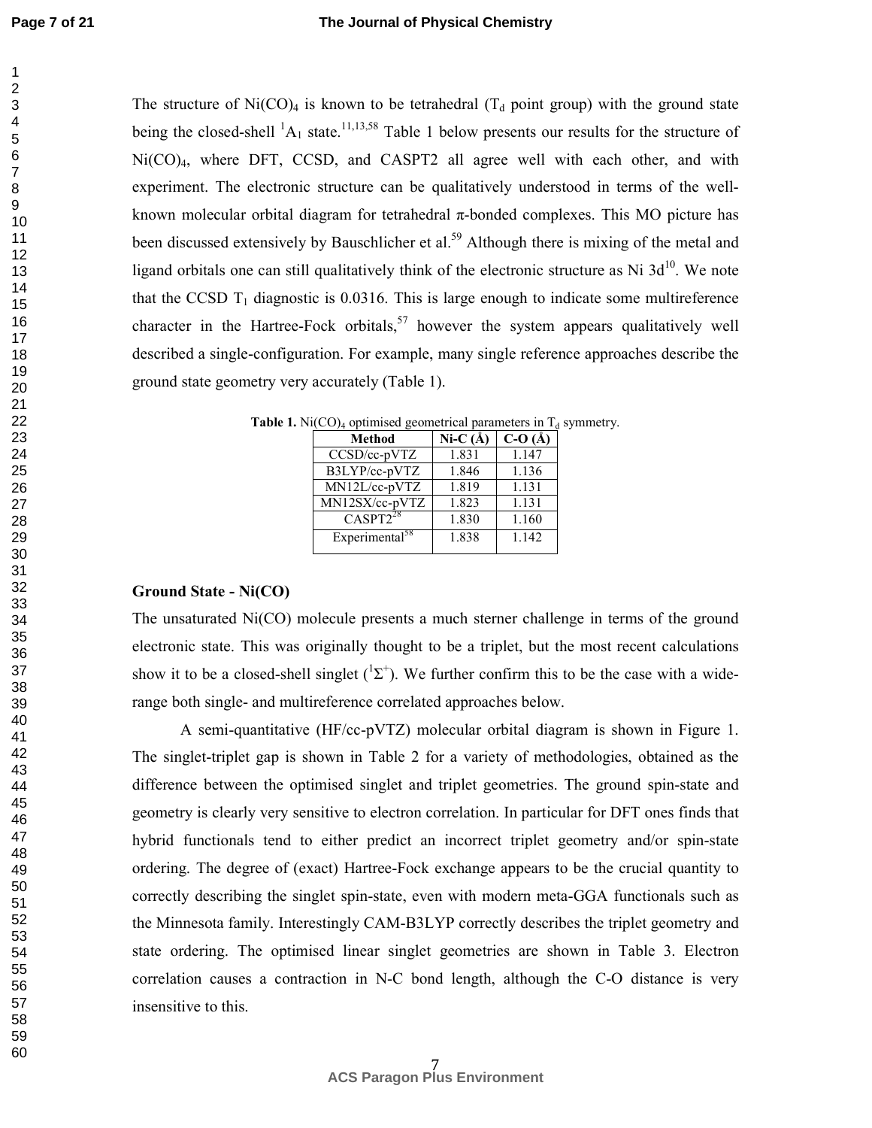The structure of Ni(CO)<sub>4</sub> is known to be tetrahedral ( $T_d$  point group) with the ground state being the closed-shell  ${}^{1}A_1$  state.<sup>11,13,58</sup> Table 1 below presents our results for the structure of Ni(CO)4, where DFT, CCSD, and CASPT2 all agree well with each other, and with experiment. The electronic structure can be qualitatively understood in terms of the wellknown molecular orbital diagram for tetrahedral π-bonded complexes. This MO picture has been discussed extensively by Bauschlicher et al.<sup>59</sup> Although there is mixing of the metal and ligand orbitals one can still qualitatively think of the electronic structure as Ni  $3d^{10}$ . We note that the CCSD  $T_1$  diagnostic is 0.0316. This is large enough to indicate some multireference character in the Hartree-Fock orbitals,<sup>57</sup> however the system appears qualitatively well described a single-configuration. For example, many single reference approaches describe the ground state geometry very accurately (Table 1).

| Method                     | Ni-C $(\AA)$ | $C-O(A)$ |
|----------------------------|--------------|----------|
| CCSD/cc-pVTZ               | 1.831        | 1.147    |
| B3LYP/cc-pVTZ              | 1.846        | 1.136    |
| MN12L/cc-pVTZ              | 1.819        | 1.131    |
| MN12SX/cc-pVTZ             | 1.823        | 1.131    |
| $CASPT2^{28}$              | 1.830        | 1.160    |
| Experimental <sup>58</sup> | 1.838        | 1 1 4 2  |

**Table 1.** Ni(CO)<sub>4</sub> optimised geometrical parameters in  $T_d$  symmetry.

## **Ground State - Ni(CO)**

The unsaturated Ni(CO) molecule presents a much sterner challenge in terms of the ground electronic state. This was originally thought to be a triplet, but the most recent calculations show it to be a closed-shell singlet  $({}^{1}\Sigma^{+})$ . We further confirm this to be the case with a widerange both single- and multireference correlated approaches below.

A semi-quantitative (HF/cc-pVTZ) molecular orbital diagram is shown in Figure 1. The singlet-triplet gap is shown in Table 2 for a variety of methodologies, obtained as the difference between the optimised singlet and triplet geometries. The ground spin-state and geometry is clearly very sensitive to electron correlation. In particular for DFT ones finds that hybrid functionals tend to either predict an incorrect triplet geometry and/or spin-state ordering. The degree of (exact) Hartree-Fock exchange appears to be the crucial quantity to correctly describing the singlet spin-state, even with modern meta-GGA functionals such as the Minnesota family. Interestingly CAM-B3LYP correctly describes the triplet geometry and state ordering. The optimised linear singlet geometries are shown in Table 3. Electron correlation causes a contraction in N-C bond length, although the C-O distance is very insensitive to this.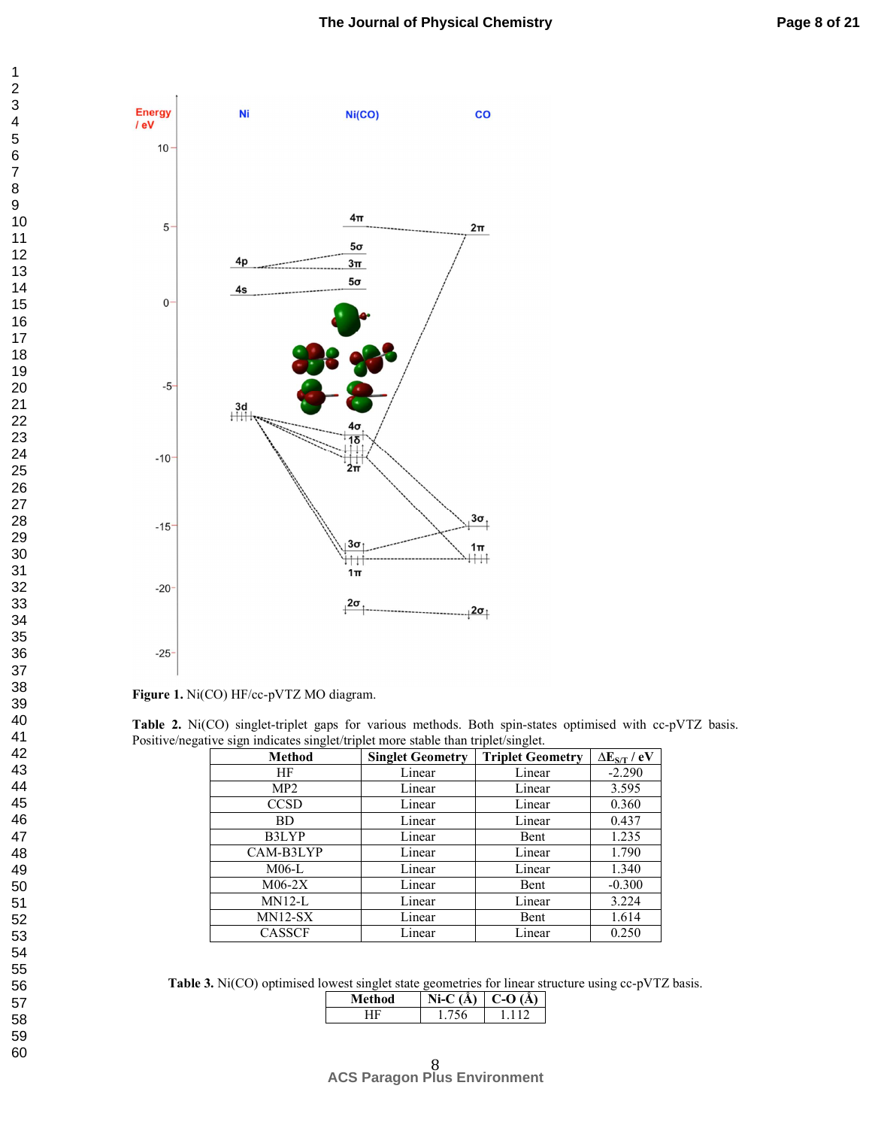

**Figure 1.** Ni(CO) HF/cc-pVTZ MO diagram.

|  | Table 2. Ni(CO) singlet-triplet gaps for various methods. Both spin-states optimised with cc-pVTZ basis. |  |  |  |  |  |
|--|----------------------------------------------------------------------------------------------------------|--|--|--|--|--|
|  | Positive/negative sign indicates singlet/triplet more stable than triplet/singlet.                       |  |  |  |  |  |

| <b>Method</b> | <b>Singlet Geometry</b> | <b>Triplet Geometry</b> | $\Delta E_{S/T}$ / eV |
|---------------|-------------------------|-------------------------|-----------------------|
| HF            | Linear                  | Linear                  | $-2.290$              |
| MP2           | Linear                  | Linear                  | 3.595                 |
| <b>CCSD</b>   | Linear                  | Linear                  | 0.360                 |
| BD.           | Linear                  | Linear                  | 0.437                 |
| B3LYP         | Linear                  | Bent                    | 1.235                 |
| CAM-B3LYP     | Linear                  | Linear                  | 1.790                 |
| $M06-L$       | Linear                  | Linear                  | 1.340                 |
| $M06-2X$      | Linear                  | Bent                    | $-0.300$              |
| MN12-L        | Linear                  | Linear                  | 3.224                 |
| $MN12-SX$     | Linear                  | Bent                    | 1.614                 |
| <b>CASSCF</b> | Linear                  | Linear                  | 0.250                 |

**Table 3.** Ni(CO) optimised lowest singlet state geometries for linear structure using cc-pVTZ basis.

| thod | Å.<br>ヽ | л |
|------|---------|---|
|      |         |   |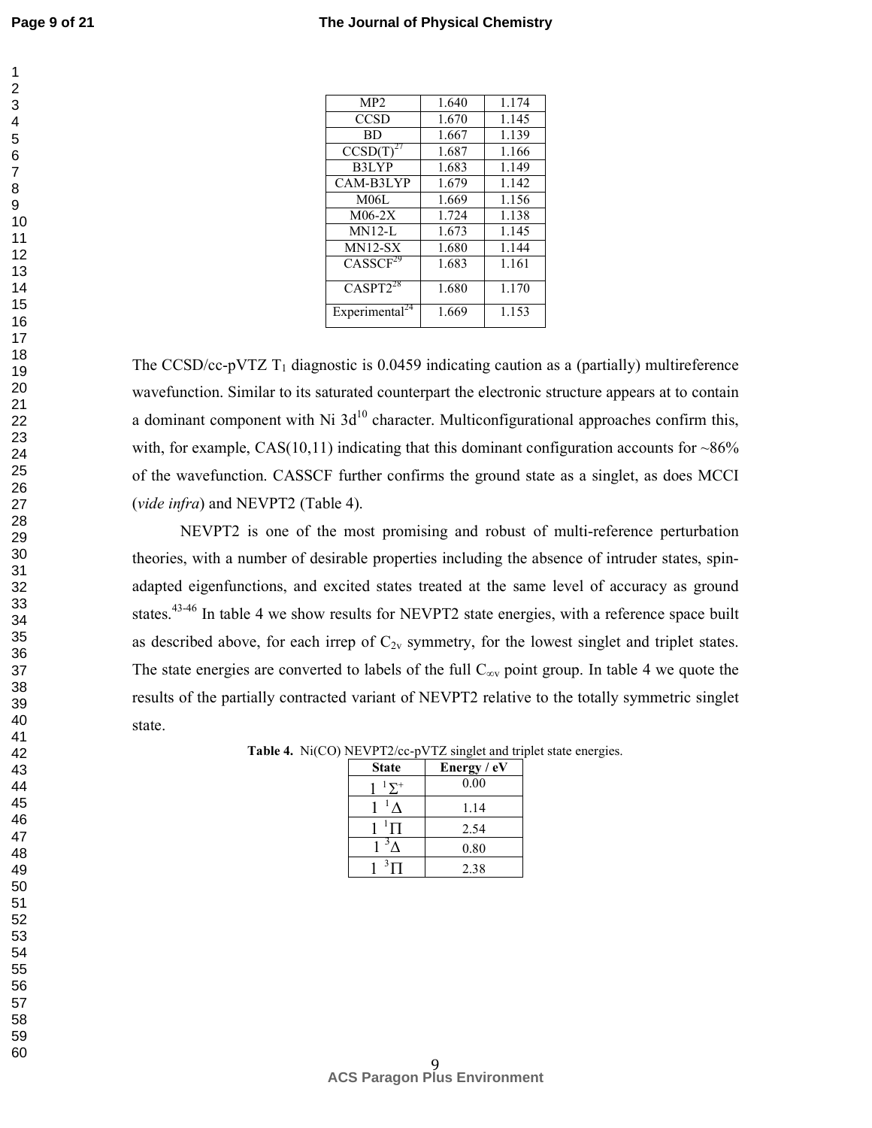| MP2                        | 1.640 | 1.174 |
|----------------------------|-------|-------|
| <b>CCSD</b>                | 1.670 | 1.145 |
| <b>BD</b>                  | 1.667 | 1.139 |
| CCSD(T)                    | 1.687 | 1.166 |
| B3LYP                      | 1.683 | 1.149 |
| CAM-B3LYP                  | 1.679 | 1.142 |
| M06L                       | 1.669 | 1.156 |
| $M06-2X$                   | 1.724 | 1.138 |
| $MN12-I$                   | 1.673 | 1.145 |
| $MN12-SX$                  | 1.680 | 1.144 |
| CASSCF <sup>29</sup>       | 1.683 | 1.161 |
| $CASPT2^{28}$              | 1.680 | 1.170 |
| Experimental <sup>24</sup> | 1.669 | 1.153 |

The CCSD/cc-pVTZ  $T_1$  diagnostic is 0.0459 indicating caution as a (partially) multireference wavefunction. Similar to its saturated counterpart the electronic structure appears at to contain a dominant component with Ni  $3d^{10}$  character. Multiconfigurational approaches confirm this, with, for example,  $CAS(10,11)$  indicating that this dominant configuration accounts for  $\sim86\%$ of the wavefunction. CASSCF further confirms the ground state as a singlet, as does MCCI (*vide infra*) and NEVPT2 (Table 4).

NEVPT2 is one of the most promising and robust of multi-reference perturbation theories, with a number of desirable properties including the absence of intruder states, spinadapted eigenfunctions, and excited states treated at the same level of accuracy as ground states.<sup>43-46</sup> In table 4 we show results for NEVPT2 state energies, with a reference space built as described above, for each irrep of  $C_{2v}$  symmetry, for the lowest singlet and triplet states. The state energies are converted to labels of the full  $C_{\infty}$  point group. In table 4 we quote the results of the partially contracted variant of NEVPT2 relative to the totally symmetric singlet state.

|  |  |  | Table 4. Ni(CO) NEVPT2/cc-pVTZ singlet and triplet state energies. |  |  |
|--|--|--|--------------------------------------------------------------------|--|--|
|--|--|--|--------------------------------------------------------------------|--|--|

| <b>State</b> | Energy / eV |
|--------------|-------------|
| $\nabla^+$   | 0.00        |
|              | 1.14        |
| П            | 2.54        |
|              | 0.80        |
|              | 2.38        |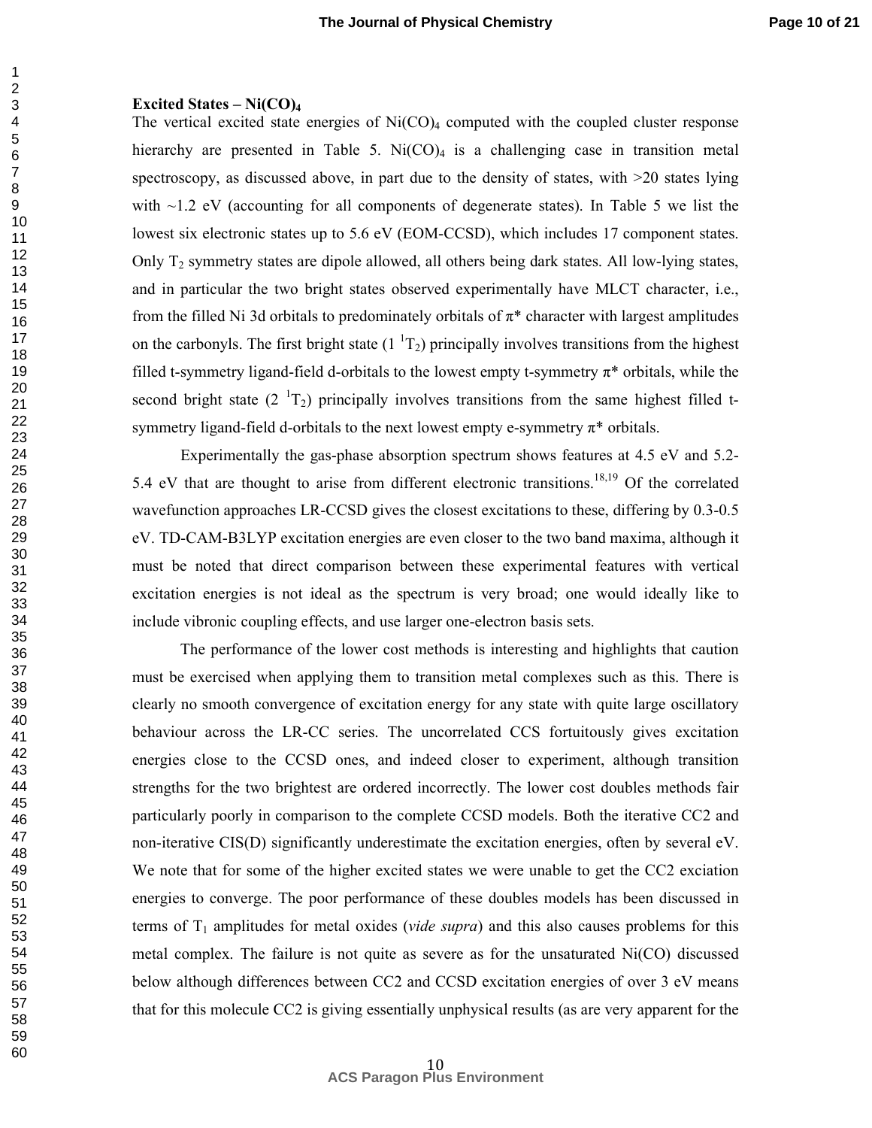#### **Excited States – Ni(CO)<sup>4</sup>**

The vertical excited state energies of  $Ni(CO)_4$  computed with the coupled cluster response hierarchy are presented in Table 5.  $Ni(CO)<sub>4</sub>$  is a challenging case in transition metal spectroscopy, as discussed above, in part due to the density of states, with  $>20$  states lying with  $\sim$ 1.2 eV (accounting for all components of degenerate states). In Table 5 we list the lowest six electronic states up to 5.6 eV (EOM-CCSD), which includes 17 component states. Only  $T<sub>2</sub>$  symmetry states are dipole allowed, all others being dark states. All low-lying states, and in particular the two bright states observed experimentally have MLCT character, i.e., from the filled Ni 3d orbitals to predominately orbitals of  $\pi^*$  character with largest amplitudes on the carbonyls. The first bright state  $(1<sup>1</sup>T<sub>2</sub>)$  principally involves transitions from the highest filled t-symmetry ligand-field d-orbitals to the lowest empty t-symmetry  $\pi^*$  orbitals, while the second bright state  $(2^{1}T_2)$  principally involves transitions from the same highest filled tsymmetry ligand-field d-orbitals to the next lowest empty e-symmetry  $\pi^*$  orbitals.

 Experimentally the gas-phase absorption spectrum shows features at 4.5 eV and 5.2- 5.4 eV that are thought to arise from different electronic transitions.<sup>18,19</sup> Of the correlated wavefunction approaches LR-CCSD gives the closest excitations to these, differing by 0.3-0.5 eV. TD-CAM-B3LYP excitation energies are even closer to the two band maxima, although it must be noted that direct comparison between these experimental features with vertical excitation energies is not ideal as the spectrum is very broad; one would ideally like to include vibronic coupling effects, and use larger one-electron basis sets.

The performance of the lower cost methods is interesting and highlights that caution must be exercised when applying them to transition metal complexes such as this. There is clearly no smooth convergence of excitation energy for any state with quite large oscillatory behaviour across the LR-CC series. The uncorrelated CCS fortuitously gives excitation energies close to the CCSD ones, and indeed closer to experiment, although transition strengths for the two brightest are ordered incorrectly. The lower cost doubles methods fair particularly poorly in comparison to the complete CCSD models. Both the iterative CC2 and non-iterative CIS(D) significantly underestimate the excitation energies, often by several eV. We note that for some of the higher excited states we were unable to get the CC2 exciation energies to converge. The poor performance of these doubles models has been discussed in terms of  $T_1$  amplitudes for metal oxides (*vide supra*) and this also causes problems for this metal complex. The failure is not quite as severe as for the unsaturated Ni(CO) discussed below although differences between CC2 and CCSD excitation energies of over 3 eV means that for this molecule CC2 is giving essentially unphysical results (as are very apparent for the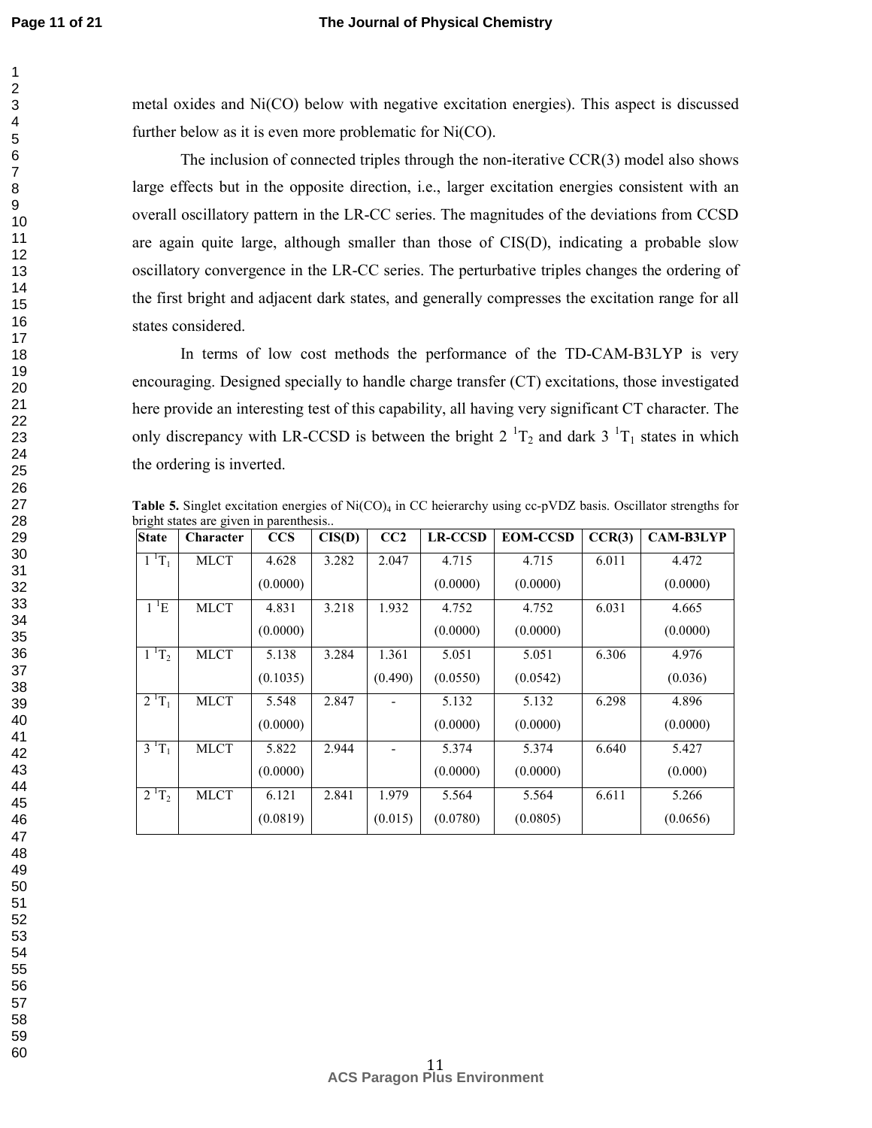#### **The Journal of Physical Chemistry**

metal oxides and Ni(CO) below with negative excitation energies). This aspect is discussed further below as it is even more problematic for Ni(CO).

 The inclusion of connected triples through the non-iterative CCR(3) model also shows large effects but in the opposite direction, i.e., larger excitation energies consistent with an overall oscillatory pattern in the LR-CC series. The magnitudes of the deviations from CCSD are again quite large, although smaller than those of CIS(D), indicating a probable slow oscillatory convergence in the LR-CC series. The perturbative triples changes the ordering of the first bright and adjacent dark states, and generally compresses the excitation range for all states considered.

 In terms of low cost methods the performance of the TD-CAM-B3LYP is very encouraging. Designed specially to handle charge transfer (CT) excitations, those investigated here provide an interesting test of this capability, all having very significant CT character. The only discrepancy with LR-CCSD is between the bright  $2^{1}T_2$  and dark  $3^{1}T_1$  states in which the ordering is inverted.

**Table 5.** Singlet excitation energies of Ni(CO)<sub>4</sub> in CC heierarchy using cc-pVDZ basis. Oscillator strengths for bright states are given in parenthesis..

| <b>State</b>                    | Character   | <b>CCS</b> | CIS(D) | CC <sub>2</sub> | <b>LR-CCSD</b> | <b>EOM-CCSD</b> | CCR(3) | <b>CAM-B3LYP</b> |
|---------------------------------|-------------|------------|--------|-----------------|----------------|-----------------|--------|------------------|
| $1^{1}T_1$                      | <b>MLCT</b> | 4.628      | 3.282  | 2.047           | 4.715          | 4.715           | 6.011  | 4.472            |
|                                 |             | (0.0000)   |        |                 | (0.0000)       | (0.0000)        |        | (0.0000)         |
| $1$ <sup><math>1</math></sup> E | <b>MLCT</b> | 4.831      | 3.218  | 1.932           | 4.752          | 4.752           | 6.031  | 4.665            |
|                                 |             | (0.0000)   |        |                 | (0.0000)       | (0.0000)        |        | (0.0000)         |
| $1^{1}T_{2}$                    | <b>MLCT</b> | 5.138      | 3.284  | 1.361           | 5.051          | 5.051           | 6.306  | 4.976            |
|                                 |             | (0.1035)   |        | (0.490)         | (0.0550)       | (0.0542)        |        | (0.036)          |
| $2^{1}T_1$                      | <b>MLCT</b> | 5.548      | 2.847  |                 | 5.132          | 5.132           | 6.298  | 4.896            |
|                                 |             | (0.0000)   |        |                 | (0.0000)       | (0.0000)        |        | (0.0000)         |
| $3^{1}T_1$                      | <b>MLCT</b> | 5.822      | 2.944  |                 | 5.374          | 5.374           | 6.640  | 5.427            |
|                                 |             | (0.0000)   |        |                 | (0.0000)       | (0.0000)        |        | (0.000)          |
| $2^{1}T_{2}$                    | <b>MLCT</b> | 6.121      | 2.841  | 1.979           | 5.564          | 5.564           | 6.611  | 5.266            |
|                                 |             | (0.0819)   |        | (0.015)         | (0.0780)       | (0.0805)        |        | (0.0656)         |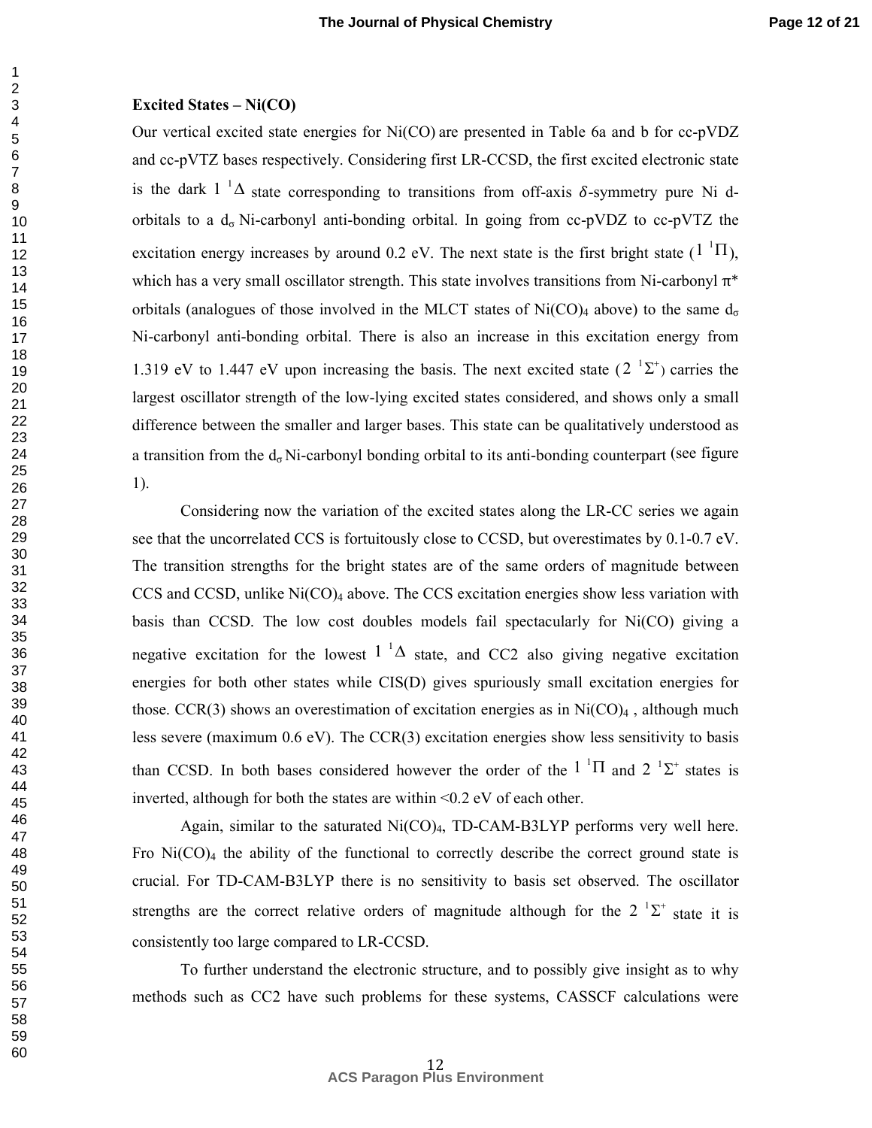#### **Excited States – Ni(CO)**

Our vertical excited state energies for Ni(CO) are presented in Table 6a and b for cc-pVDZ and cc-pVTZ bases respectively. Considering first LR-CCSD, the first excited electronic state is the dark  $1^{-1}\Delta$  state corresponding to transitions from off-axis  $\delta$ -symmetry pure Ni dorbitals to a  $d_{\sigma}$  Ni-carbonyl anti-bonding orbital. In going from cc-pVDZ to cc-pVTZ the excitation energy increases by around 0.2 eV. The next state is the first bright state  $(1<sup>1</sup>\Pi)$ , which has a very small oscillator strength. This state involves transitions from Ni-carbonyl  $\pi^*$ orbitals (analogues of those involved in the MLCT states of  $Ni(CO)_4$  above) to the same  $d_{\sigma}$ Ni-carbonyl anti-bonding orbital. There is also an increase in this excitation energy from 1.319 eV to 1.447 eV upon increasing the basis. The next excited state  $(2^{-1}\Sigma^{+})$  carries the largest oscillator strength of the low-lying excited states considered, and shows only a small difference between the smaller and larger bases. This state can be qualitatively understood as a transition from the  $d_{\sigma}$  Ni-carbonyl bonding orbital to its anti-bonding counterpart (see figure 1).

 Considering now the variation of the excited states along the LR-CC series we again see that the uncorrelated CCS is fortuitously close to CCSD, but overestimates by 0.1-0.7 eV. The transition strengths for the bright states are of the same orders of magnitude between CCS and CCSD, unlike  $Ni(CO)<sub>4</sub>$  above. The CCS excitation energies show less variation with basis than CCSD. The low cost doubles models fail spectacularly for Ni(CO) giving a negative excitation for the lowest  $1^{-1}\Delta$  state, and CC2 also giving negative excitation energies for both other states while CIS(D) gives spuriously small excitation energies for those. CCR(3) shows an overestimation of excitation energies as in  $Ni(CO)_4$ , although much less severe (maximum 0.6 eV). The CCR(3) excitation energies show less sensitivity to basis than CCSD. In both bases considered however the order of the  $1<sup>-1</sup>\Pi$  and  $2<sup>-1</sup>\Sigma^+$  states is inverted, although for both the states are within <0.2 eV of each other.

Again, similar to the saturated  $Ni(CO)_4$ , TD-CAM-B3LYP performs very well here. Fro  $Ni(CO)_4$  the ability of the functional to correctly describe the correct ground state is crucial. For TD-CAM-B3LYP there is no sensitivity to basis set observed. The oscillator strengths are the correct relative orders of magnitude although for the  $2^{-1}\Sigma^{+}$  state it is consistently too large compared to LR-CCSD.

To further understand the electronic structure, and to possibly give insight as to why methods such as CC2 have such problems for these systems, CASSCF calculations were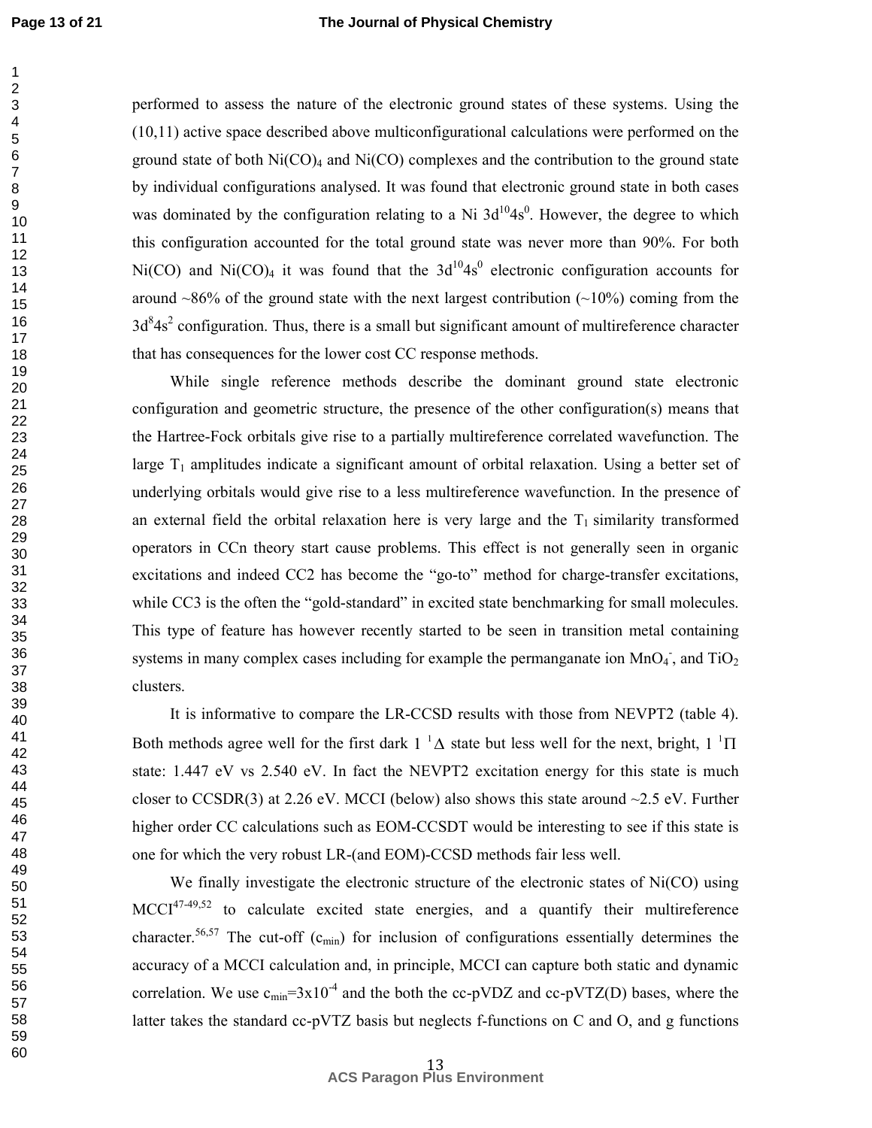#### **The Journal of Physical Chemistry**

performed to assess the nature of the electronic ground states of these systems. Using the (10,11) active space described above multiconfigurational calculations were performed on the ground state of both  $Ni(CO)<sub>4</sub>$  and  $Ni(CO)$  complexes and the contribution to the ground state by individual configurations analysed. It was found that electronic ground state in both cases was dominated by the configuration relating to a Ni  $3d^{10}4s^0$ . However, the degree to which this configuration accounted for the total ground state was never more than 90%. For both Ni(CO) and Ni(CO)<sub>4</sub> it was found that the  $3d^{10}4s^0$  electronic configuration accounts for around  $~86\%$  of the ground state with the next largest contribution ( $~10\%$ ) coming from the  $3d<sup>8</sup>4s<sup>2</sup>$  configuration. Thus, there is a small but significant amount of multireference character that has consequences for the lower cost CC response methods.

While single reference methods describe the dominant ground state electronic configuration and geometric structure, the presence of the other configuration(s) means that the Hartree-Fock orbitals give rise to a partially multireference correlated wavefunction. The large  $T_1$  amplitudes indicate a significant amount of orbital relaxation. Using a better set of underlying orbitals would give rise to a less multireference wavefunction. In the presence of an external field the orbital relaxation here is very large and the  $T_1$  similarity transformed operators in CCn theory start cause problems. This effect is not generally seen in organic excitations and indeed CC2 has become the "go-to" method for charge-transfer excitations, while CC3 is the often the "gold-standard" in excited state benchmarking for small molecules. This type of feature has however recently started to be seen in transition metal containing systems in many complex cases including for example the permanganate ion  $MnO<sub>4</sub>$ , and TiO<sub>2</sub> clusters.

It is informative to compare the LR-CCSD results with those from NEVPT2 (table 4). Both methods agree well for the first dark  $1^{-1}\Delta$  state but less well for the next, bright,  $1^{-1}\Pi$ state: 1.447 eV vs 2.540 eV. In fact the NEVPT2 excitation energy for this state is much closer to CCSDR(3) at 2.26 eV. MCCI (below) also shows this state around  $\sim$ 2.5 eV. Further higher order CC calculations such as EOM-CCSDT would be interesting to see if this state is one for which the very robust LR-(and EOM)-CCSD methods fair less well.

We finally investigate the electronic structure of the electronic states of Ni(CO) using  $MCCI^{47-49,52}$  to calculate excited state energies, and a quantify their multireference character.<sup>56,57</sup> The cut-off (c<sub>min</sub>) for inclusion of configurations essentially determines the accuracy of a MCCI calculation and, in principle, MCCI can capture both static and dynamic correlation. We use  $c_{\text{min}} = 3x10^{-4}$  and the both the cc-pVDZ and cc-pVTZ(D) bases, where the latter takes the standard cc-pVTZ basis but neglects f-functions on C and O, and g functions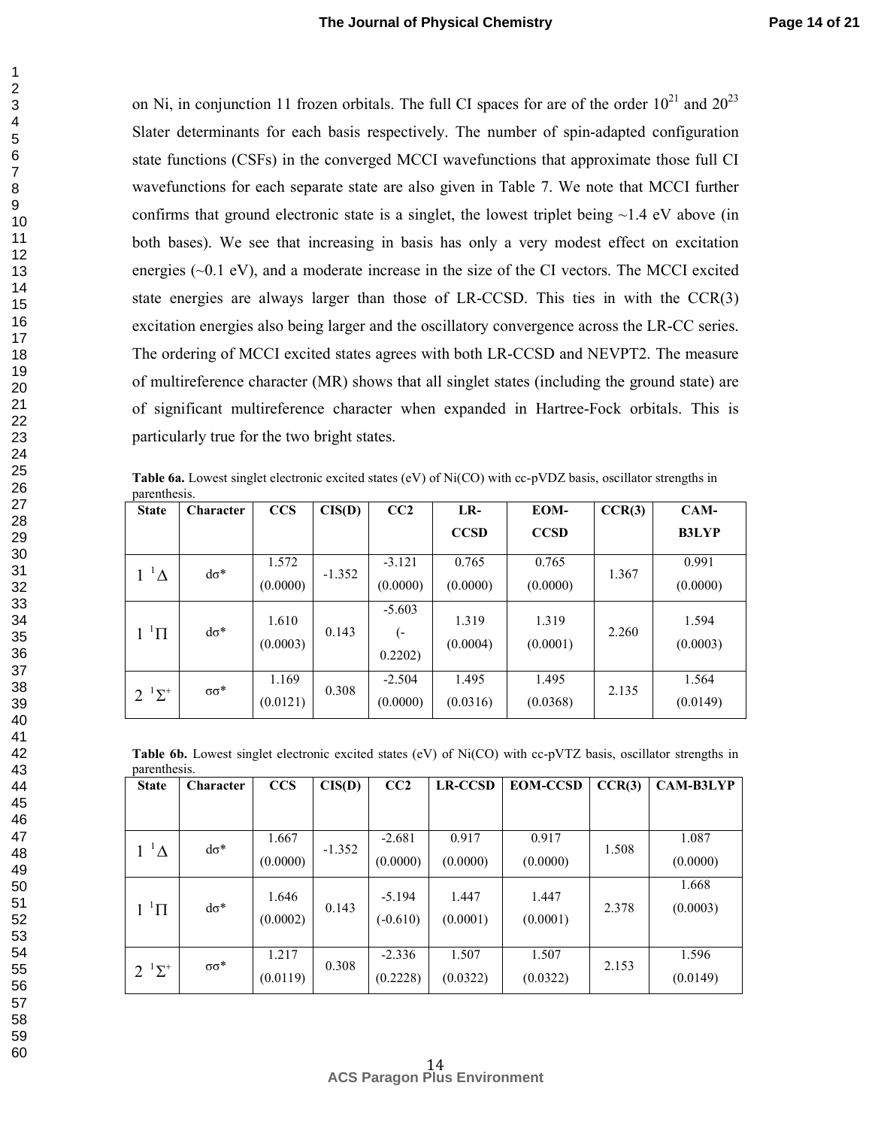on Ni, in conjunction 11 frozen orbitals. The full CI spaces for are of the order  $10^{21}$  and  $20^{23}$ Slater determinants for each basis respectively. The number of spin-adapted configuration state functions (CSFs) in the converged MCCI wavefunctions that approximate those full CI wavefunctions for each separate state are also given in Table 7. We note that MCCI further confirms that ground electronic state is a singlet, the lowest triplet being  $\sim$ 1.4 eV above (in both bases). We see that increasing in basis has only a very modest effect on excitation energies (~0.1 eV), and a moderate increase in the size of the CI vectors. The MCCI excited state energies are always larger than those of LR-CCSD. This ties in with the CCR(3) excitation energies also being larger and the oscillatory convergence across the LR-CC series. The ordering of MCCI excited states agrees with both LR-CCSD and NEVPT2. The measure of multireference character (MR) shows that all singlet states (including the ground state) are of significant multireference character when expanded in Hartree-Fock orbitals. This is particularly true for the two bright states.

Table 6a. Lowest singlet electronic excited states (eV) of Ni(CO) with cc-pVDZ basis, oscillator strengths in parenthesis.

| <b>State</b>       | Character         | <b>CCS</b>        | CIS(D)   | CC2                       | LR-               | EOM-              | CCR(3) | $CAM-$            |
|--------------------|-------------------|-------------------|----------|---------------------------|-------------------|-------------------|--------|-------------------|
|                    |                   |                   |          |                           | <b>CCSD</b>       | <b>CCSD</b>       |        | <b>B3LYP</b>      |
| $1^{-1}\Delta$     | $d\sigma^*$       | 1.572<br>(0.0000) | $-1.352$ | $-3.121$<br>(0.0000)      | 0.765<br>(0.0000) | 0.765<br>(0.0000) | 1.367  | 0.991<br>(0.0000) |
| $1~^1\Pi$          | $d\sigma^*$       | 1.610<br>(0.0003) | 0.143    | $-5.603$<br>(-<br>0.2202) | 1.319<br>(0.0004) | 1.319<br>(0.0001) | 2.260  | 1.594<br>(0.0003) |
| $2^{1} \Sigma^{+}$ | $\sigma \sigma^*$ | 1.169<br>(0.0121) | 0.308    | $-2.504$<br>(0.0000)      | 1.495<br>(0.0316) | 1.495<br>(0.0368) | 2.135  | 1.564<br>(0.0149) |

**Table 6b.** Lowest singlet electronic excited states (eV) of Ni(CO) with cc-pVTZ basis, oscillator strengths in parenthesis.

| pw. externed.c.<br><b>State</b>     | <b>Character</b> | <b>CCS</b> | CIS(D)   | CC2        | <b>LR-CCSD</b> | <b>EOM-CCSD</b> | CCR(3) | <b>CAM-B3LYP</b> |
|-------------------------------------|------------------|------------|----------|------------|----------------|-----------------|--------|------------------|
|                                     |                  |            |          |            |                |                 |        |                  |
|                                     |                  | 1.667      |          | $-2.681$   | 0.917          | 0.917           |        | 1.087            |
| $1^{-1}\Delta$                      | $d\sigma^*$      | (0.0000)   | $-1.352$ | (0.0000)   | (0.0000)       | (0.0000)        | 1.508  | (0.0000)         |
|                                     |                  |            |          |            |                |                 |        | 1.668            |
| $1$ <sup><math>1</math></sup> $\Pi$ | $d\sigma^*$      | 1.646      | 0.143    | $-5.194$   | 1.447          | 1.447           | 2.378  | (0.0003)         |
|                                     |                  | (0.0002)   |          | $(-0.610)$ | (0.0001)       | (0.0001)        |        |                  |
|                                     |                  |            |          |            |                |                 |        |                  |
|                                     |                  | 1.217      |          | $-2.336$   | 1.507          | 1.507           |        | 1.596            |
| $2^{1} \Sigma^{+}$                  | $σσ*$            | (0.0119)   | 0.308    | (0.2228)   | (0.0322)       | (0.0322)        | 2.153  | (0.0149)         |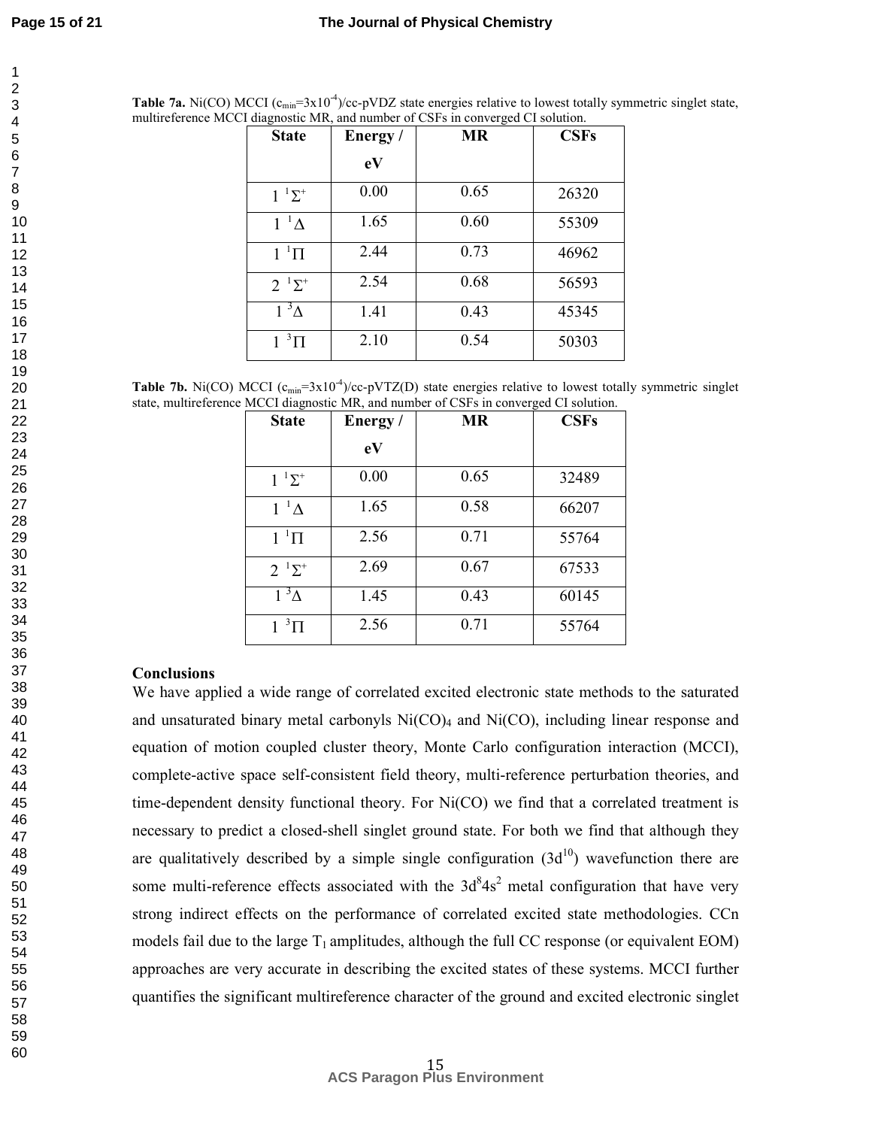| <b>Table 7a.</b> Ni(CO) MCCI $(c_{min} = 3x10^{-4})/cc$ -pVDZ state energies relative to lowest totally symmetric singlet state, |
|----------------------------------------------------------------------------------------------------------------------------------|
| multireference MCCI diagnostic MR, and number of CSFs in converged CI solution.                                                  |

| <b>State</b>       | Energy/ | <b>MR</b> | <b>CSFs</b> |
|--------------------|---------|-----------|-------------|
|                    | eV      |           |             |
| $1^{-1}\Sigma^{+}$ | 0.00    | 0.65      | 26320       |
| $1^{-1}$ $\Lambda$ | 1.65    | 0.60      | 55309       |
| $1~^1\Pi$          | 2.44    | 0.73      | 46962       |
| $2^{1} \Sigma^{+}$ | 2.54    | 0.68      | 56593       |
| $1^3\Delta$        | 1.41    | 0.43      | 45345       |
| $1~^3\Pi$          | 2.10    | 0.54      | 50303       |

**Table 7b.** Ni(CO) MCCI  $(c_{\text{min}}=3x10^{-4})/cc-pVTZ(D)$  state energies relative to lowest totally symmetric singlet state, multireference MCCI diagnostic MR, and number of CSFs in converged CI solution.

| <b>State</b>       | Energy/ | <b>MR</b> | <b>CSFs</b> |
|--------------------|---------|-----------|-------------|
|                    | eV      |           |             |
| $1^{-1}\Sigma^{+}$ | 0.00    | 0.65      | 32489       |
| $1^{-1}\Delta$     | 1.65    | 0.58      | 66207       |
| $11\Pi$            | 2.56    | 0.71      | 55764       |
| $2^{1} \Sigma^{+}$ | 2.69    | 0.67      | 67533       |
| $1^3\Lambda$       | 1.45    | 0.43      | 60145       |
| $1^3\Pi$           | 2.56    | 0.71      | 55764       |

## **Conclusions**

We have applied a wide range of correlated excited electronic state methods to the saturated and unsaturated binary metal carbonyls  $Ni(CO)_4$  and  $Ni(CO)$ , including linear response and equation of motion coupled cluster theory, Monte Carlo configuration interaction (MCCI), complete-active space self-consistent field theory, multi-reference perturbation theories, and time-dependent density functional theory. For Ni(CO) we find that a correlated treatment is necessary to predict a closed-shell singlet ground state. For both we find that although they are qualitatively described by a simple single configuration  $(3d^{10})$  wavefunction there are some multi-reference effects associated with the  $3d<sup>8</sup>4s<sup>2</sup>$  metal configuration that have very strong indirect effects on the performance of correlated excited state methodologies. CCn models fail due to the large  $T_1$  amplitudes, although the full CC response (or equivalent EOM) approaches are very accurate in describing the excited states of these systems. MCCI further quantifies the significant multireference character of the ground and excited electronic singlet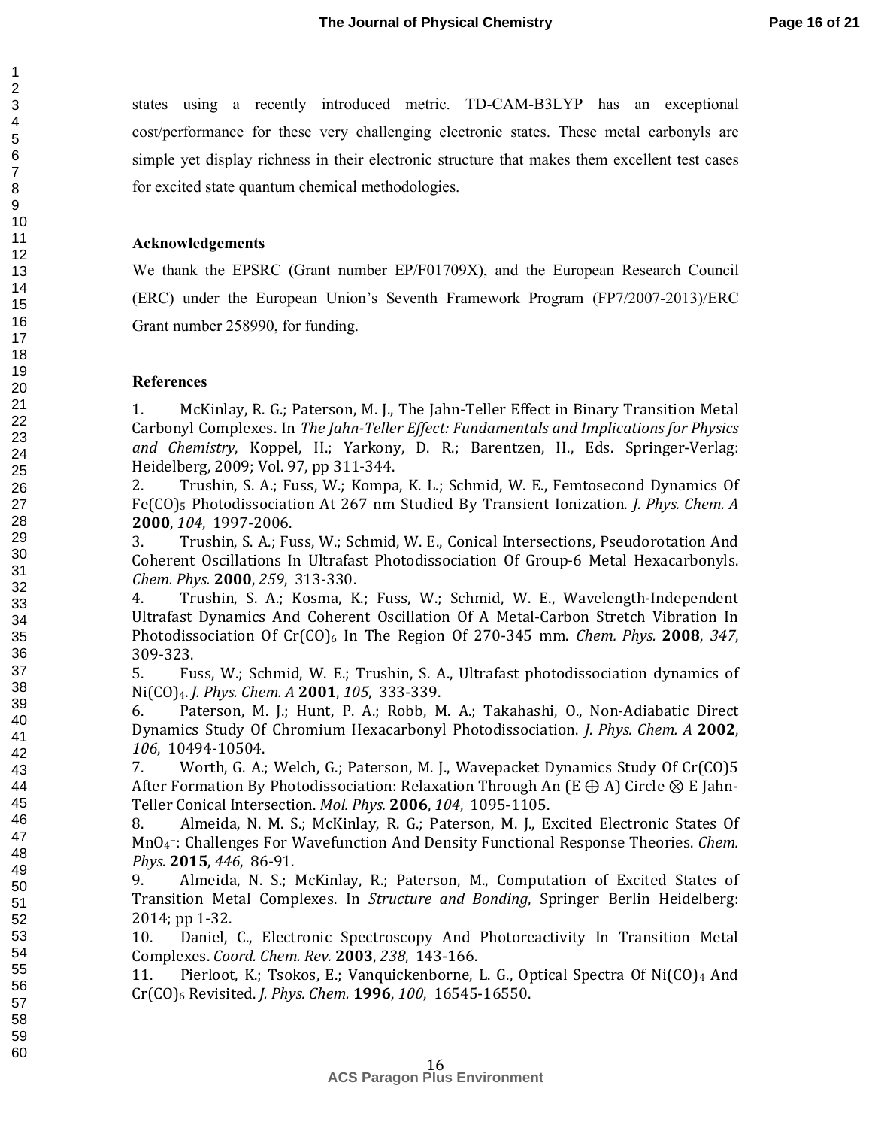states using a recently introduced metric. TD-CAM-B3LYP has an exceptional cost/performance for these very challenging electronic states. These metal carbonyls are simple yet display richness in their electronic structure that makes them excellent test cases for excited state quantum chemical methodologies.

## **Acknowledgements**

We thank the EPSRC (Grant number EP/F01709X), and the European Research Council (ERC) under the European Union's Seventh Framework Program (FP7/2007-2013)/ERC Grant number 258990, for funding.

#### **References**

1. McKinlay, R. G.; Paterson, M. J., The Jahn-Teller Effect in Binary Transition Metal Carbonyl Complexes. In *The Jahn-Teller Effect: Fundamentals and Implications for Physics and Chemistry*, Koppel, H.; Yarkony, D. R.; Barentzen, H., Eds. Springer-Verlag: Heidelberg, 2009; Vol. 97, pp 311-344.

2. Trushin, S. A.; Fuss, W.; Kompa, K. L.; Schmid, W. E., Femtosecond Dynamics Of Fe(CO)5 Photodissociation At 267 nm Studied By Transient Ionization. *J. Phys. Chem. A*  **2000**, *104*, 1997-2006.

3. Trushin, S. A.; Fuss, W.; Schmid, W. E., Conical Intersections, Pseudorotation And Coherent Oscillations In Ultrafast Photodissociation Of Group-6 Metal Hexacarbonyls. *Chem. Phys.* **2000**, *259*, 313-330.

4. Trushin, S. A.; Kosma, K.; Fuss, W.; Schmid, W. E., Wavelength-Independent Ultrafast Dynamics And Coherent Oscillation Of A Metal-Carbon Stretch Vibration In Photodissociation Of  $Cr(CO)_{6}$  In The Region Of 270-345 mm. *Chem. Phys.* **2008**, 347, 309-323.

5. Fuss, W.; Schmid, W. E.; Trushin, S. A., Ultrafast photodissociation dynamics of Ni(CO)4. *J. Phys. Chem. A* **2001**, *105*, 333-339.

6. Paterson, M. J.; Hunt, P. A.; Robb, M. A.; Takahashi, O., Non-Adiabatic Direct Dynamics Study Of Chromium Hexacarbonyl Photodissociation. *J. Phys. Chem. A* **2002**, *106*, 10494-10504.

7. Worth, G. A.; Welch, G.; Paterson, M. J., Wavepacket Dynamics Study Of Cr(CO)5 After Formation By Photodissociation: Relaxation Through An (E  $\oplus$  A) Circle  $\otimes$  E Jahn-Teller Conical Intersection. *Mol. Phys.* **2006**, *104*, 1095-1105.

8. Almeida, N. M. S.; McKinlay, R. G.; Paterson, M. J., Excited Electronic States Of MnO<sup>4</sup> <sup>−</sup>: Challenges For Wavefunction And Density Functional Response Theories. *Chem. Phys.* **2015**, *446*, 86-91.

9. Almeida, N. S.; McKinlay, R.; Paterson, M., Computation of Excited States of Transition Metal Complexes. In *Structure and Bonding*, Springer Berlin Heidelberg: 2014; pp 1-32.

10. Daniel, C., Electronic Spectroscopy And Photoreactivity In Transition Metal Complexes. *Coord. Chem. Rev.* **2003**, *238*, 143-166.

11. Pierloot, K.; Tsokos, E.; Vanquickenborne, L. G., Optical Spectra Of Ni(CO)4 And Cr(CO)6 Revisited. *J. Phys. Chem.* **1996**, *100*, 16545-16550.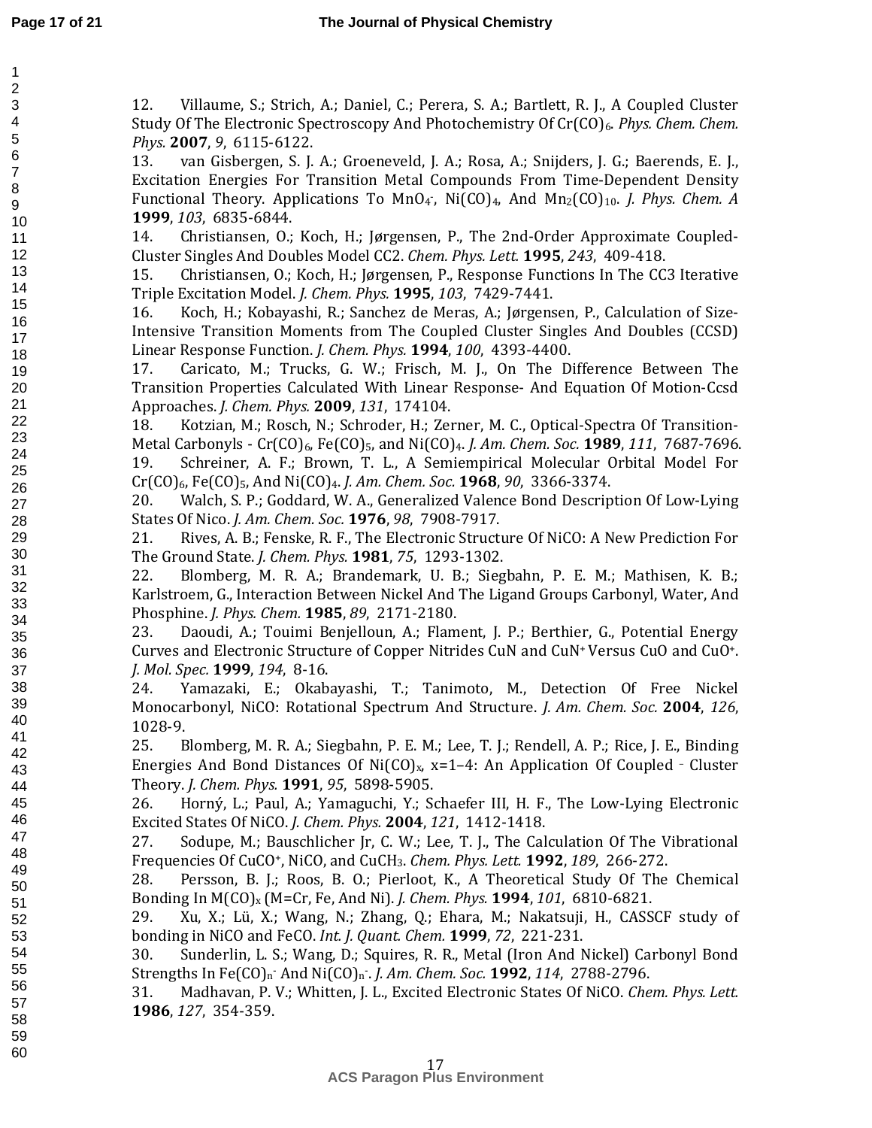12. Villaume, S.; Strich, A.; Daniel, C.; Perera, S. A.; Bartlett, R. J., A Coupled Cluster Study Of The Electronic Spectroscopy And Photochemistry Of Cr(CO)6. *Phys. Chem. Chem. Phys.* **2007**, *9*, 6115-6122.

13. van Gisbergen, S. J. A.; Groeneveld, J. A.; Rosa, A.; Snijders, J. G.; Baerends, E. J., Excitation Energies For Transition Metal Compounds From Time-Dependent Density Functional Theory. Applications To MnO<sub>4</sub>, Ni(CO)<sub>4</sub>, And Mn<sub>2</sub>(CO)<sub>10</sub>. *J. Phys. Chem. A* **1999**, *103*, 6835-6844.

14. Christiansen, O.; Koch, H.; Jørgensen, P., The 2nd-Order Approximate Coupled-Cluster Singles And Doubles Model CC2. *Chem. Phys. Lett.* **1995**, *243*, 409-418.

15. Christiansen, O.; Koch, H.; Jørgensen, P., Response Functions In The CC3 Iterative Triple Excitation Model. *J. Chem. Phys.* **1995**, *103*, 7429-7441.

16. Koch, H.; Kobayashi, R.; Sanchez de Meras, A.; Jørgensen, P., Calculation of Size-Intensive Transition Moments from The Coupled Cluster Singles And Doubles (CCSD) Linear Response Function. *J. Chem. Phys.* **1994**, *100*, 4393-4400.

17. Caricato, M.; Trucks, G. W.; Frisch, M. J., On The Difference Between The Transition Properties Calculated With Linear Response- And Equation Of Motion-Ccsd Approaches. *J. Chem. Phys.* **2009**, *131*, 174104.

18. Kotzian, M.; Rosch, N.; Schroder, H.; Zerner, M. C., Optical-Spectra Of Transition-Metal Carbonyls - Cr(CO)6, Fe(CO)5, and Ni(CO)4. *J. Am. Chem. Soc.* **1989**, *111*, 7687-7696. 19. Schreiner, A. F.; Brown, T. L., A Semiempirical Molecular Orbital Model For Cr(CO)6, Fe(CO)5, And Ni(CO)4. *J. Am. Chem. Soc.* **1968**, *90*, 3366-3374.

20. Walch, S. P.; Goddard, W. A., Generalized Valence Bond Description Of Low-Lying States Of Nico. *J. Am. Chem. Soc.* **1976**, *98*, 7908-7917.

21. Rives, A. B.; Fenske, R. F., The Electronic Structure Of NiCO: A New Prediction For The Ground State. *J. Chem. Phys.* **1981**, *75*, 1293-1302.

22. Blomberg, M. R. A.; Brandemark, U. B.; Siegbahn, P. E. M.; Mathisen, K. B.; Karlstroem, G., Interaction Between Nickel And The Ligand Groups Carbonyl, Water, And Phosphine. *J. Phys. Chem.* **1985**, *89*, 2171-2180.

23. Daoudi, A.; Touimi Benjelloun, A.; Flament, J. P.; Berthier, G., Potential Energy Curves and Electronic Structure of Copper Nitrides CuN and CuN<sup>+</sup>Versus CuO and CuO<sup>+</sup>. *J. Mol. Spec.* **1999**, *194*, 8-16.

24. Yamazaki, E.; Okabayashi, T.; Tanimoto, M., Detection Of Free Nickel Monocarbonyl, NiCO: Rotational Spectrum And Structure. *J. Am. Chem. Soc.* **2004**, *126*, 1028-9.

25. Blomberg, M. R. A.; Siegbahn, P. E. M.; Lee, T. J.; Rendell, A. P.; Rice, J. E., Binding Energies And Bond Distances Of Ni(CO)<sub>x</sub>, x=1-4: An Application Of Coupled - Cluster Theory. *J. Chem. Phys.* **1991**, *95*, 5898-5905.

26. Horný, L.; Paul, A.; Yamaguchi, Y.; Schaefer III, H. F., The Low-Lying Electronic Excited States Of NiCO. *J. Chem. Phys.* **2004**, *121*, 1412-1418.

27. Sodupe, M.; Bauschlicher Jr, C. W.; Lee, T. J., The Calculation Of The Vibrational Frequencies Of CuCO<sup>+</sup>, NiCO, and CuCH3. *Chem. Phys. Lett.* **1992**, *189*, 266-272.

28. Persson, B. J.; Roos, B. O.; Pierloot, K., A Theoretical Study Of The Chemical Bonding In M(CO)x (M=Cr, Fe, And Ni). *J. Chem. Phys.* **1994**, *101*, 6810-6821.

29. Xu, X.; Lü, X.; Wang, N.; Zhang, Q.; Ehara, M.; Nakatsuji, H., CASSCF study of bonding in NiCO and FeCO. *Int. J. Quant. Chem.* **1999**, *72*, 221-231.

30. Sunderlin, L. S.; Wang, D.; Squires, R. R., Metal (Iron And Nickel) Carbonyl Bond Strengths In Fe(CO)<sub>n</sub> And Ni(CO)<sub>n</sub> J. Am. Chem. Soc. **1992**, 114, 2788-2796.

31. Madhavan, P. V.; Whitten, J. L., Excited Electronic States Of NiCO. *Chem. Phys. Lett.*  **1986**, *127*, 354-359.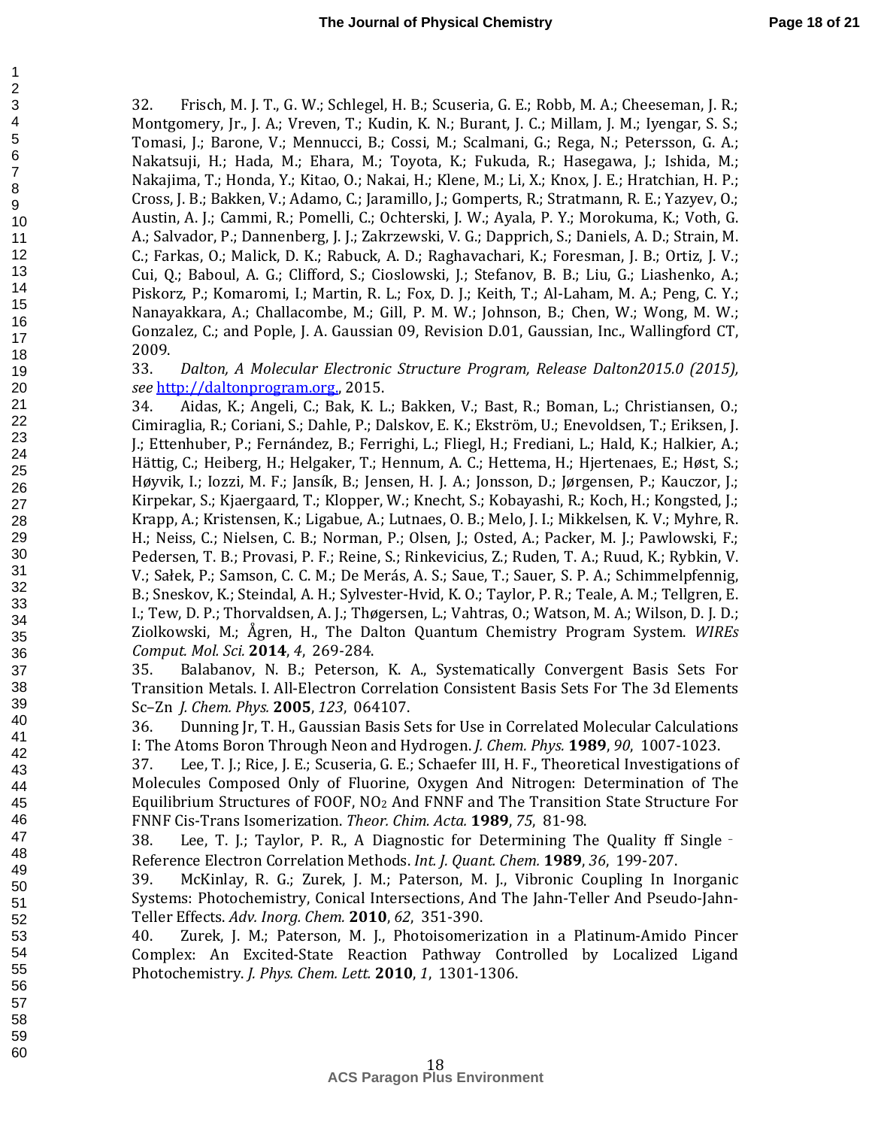32. Frisch, M. J. T., G. W.; Schlegel, H. B.; Scuseria, G. E.; Robb, M. A.; Cheeseman, J. R.; Montgomery, Jr., J. A.; Vreven, T.; Kudin, K. N.; Burant, J. C.; Millam, J. M.; Iyengar, S. S.; Tomasi, J.; Barone, V.; Mennucci, B.; Cossi, M.; Scalmani, G.; Rega, N.; Petersson, G. A.; Nakatsuji, H.; Hada, M.; Ehara, M.; Toyota, K.; Fukuda, R.; Hasegawa, J.; Ishida, M.; Nakajima, T.; Honda, Y.; Kitao, O.; Nakai, H.; Klene, M.; Li, X.; Knox, J. E.; Hratchian, H. P.; Cross, J. B.; Bakken, V.; Adamo, C.; Jaramillo, J.; Gomperts, R.; Stratmann, R. E.; Yazyev, O.; Austin, A. J.; Cammi, R.; Pomelli, C.; Ochterski, J. W.; Ayala, P. Y.; Morokuma, K.; Voth, G. A.; Salvador, P.; Dannenberg, J. J.; Zakrzewski, V. G.; Dapprich, S.; Daniels, A. D.; Strain, M. C.; Farkas, O.; Malick, D. K.; Rabuck, A. D.; Raghavachari, K.; Foresman, J. B.; Ortiz, J. V.; Cui, Q.; Baboul, A. G.; Clifford, S.; Cioslowski, J.; Stefanov, B. B.; Liu, G.; Liashenko, A.; Piskorz, P.; Komaromi, I.; Martin, R. L.; Fox, D. J.; Keith, T.; Al-Laham, M. A.; Peng, C. Y.; Nanayakkara, A.; Challacombe, M.; Gill, P. M. W.; Johnson, B.; Chen, W.; Wong, M. W.; Gonzalez, C.; and Pople, J. A. Gaussian 09, Revision D.01, Gaussian, Inc., Wallingford CT, 2009.

33. *Dalton, A Molecular Electronic Structure Program, Release Dalton2015.0 (2015), see* http://daltonprogram.org., 2015.

34. Aidas, K.; Angeli, C.; Bak, K. L.; Bakken, V.; Bast, R.; Boman, L.; Christiansen, O.; Cimiraglia, R.; Coriani, S.; Dahle, P.; Dalskov, E. K.; Ekström, U.; Enevoldsen, T.; Eriksen, J. J.; Ettenhuber, P.; Fernández, B.; Ferrighi, L.; Fliegl, H.; Frediani, L.; Hald, K.; Halkier, A.; Hättig, C.; Heiberg, H.; Helgaker, T.; Hennum, A. C.; Hettema, H.; Hjertenaes, E.; Høst, S.; Høyvik, I.; Iozzi, M. F.; Jansík, B.; Jensen, H. J. A.; Jonsson, D.; Jørgensen, P.; Kauczor, J.; Kirpekar, S.; Kjaergaard, T.; Klopper, W.; Knecht, S.; Kobayashi, R.; Koch, H.; Kongsted, J.; Krapp, A.; Kristensen, K.; Ligabue, A.; Lutnaes, O. B.; Melo, J. I.; Mikkelsen, K. V.; Myhre, R. H.; Neiss, C.; Nielsen, C. B.; Norman, P.; Olsen, J.; Osted, A.; Packer, M. J.; Pawlowski, F.; Pedersen, T. B.; Provasi, P. F.; Reine, S.; Rinkevicius, Z.; Ruden, T. A.; Ruud, K.; Rybkin, V. V.; Sałek, P.; Samson, C. C. M.; De Merás, A. S.; Saue, T.; Sauer, S. P. A.; Schimmelpfennig, B.; Sneskov, K.; Steindal, A. H.; Sylvester-Hvid, K. O.; Taylor, P. R.; Teale, A. M.; Tellgren, E. I.; Tew, D. P.; Thorvaldsen, A. J.; Thøgersen, L.; Vahtras, O.; Watson, M. A.; Wilson, D. J. D.; Ziolkowski, M.; Ågren, H., The Dalton Quantum Chemistry Program System. *WIREs Comput. Mol. Sci.* **2014**, *4*, 269-284.

35. Balabanov, N. B.; Peterson, K. A., Systematically Convergent Basis Sets For Transition Metals. I. All-Electron Correlation Consistent Basis Sets For The 3d Elements Sc–Zn *J. Chem. Phys.* **2005**, *123*, 064107.

36. Dunning Jr, T. H., Gaussian Basis Sets for Use in Correlated Molecular Calculations I: The Atoms Boron Through Neon and Hydrogen. *J. Chem. Phys.* **1989**, *90*, 1007-1023.

37. Lee, T. J.; Rice, J. E.; Scuseria, G. E.; Schaefer III, H. F., Theoretical Investigations of Molecules Composed Only of Fluorine, Oxygen And Nitrogen: Determination of The Equilibrium Structures of FOOF, NO2 And FNNF and The Transition State Structure For FNNF Cis-Trans Isomerization. *Theor. Chim. Acta.* **1989**, *75*, 81-98.

38. Lee, T. J.; Taylor, P. R., A Diagnostic for Determining The Quality ff Single‐ Reference Electron Correlation Methods. *Int. J. Quant. Chem.* **1989**, *36*, 199-207.

39. McKinlay, R. G.; Zurek, J. M.; Paterson, M. J., Vibronic Coupling In Inorganic Systems: Photochemistry, Conical Intersections, And The Jahn-Teller And Pseudo-Jahn-Teller Effects. *Adv. Inorg. Chem.* **2010**, *62*, 351-390.

40. Zurek, J. M.; Paterson, M. J., Photoisomerization in a Platinum-Amido Pincer Complex: An Excited-State Reaction Pathway Controlled by Localized Ligand Photochemistry. *J. Phys. Chem. Lett.* **2010**, *1*, 1301-1306.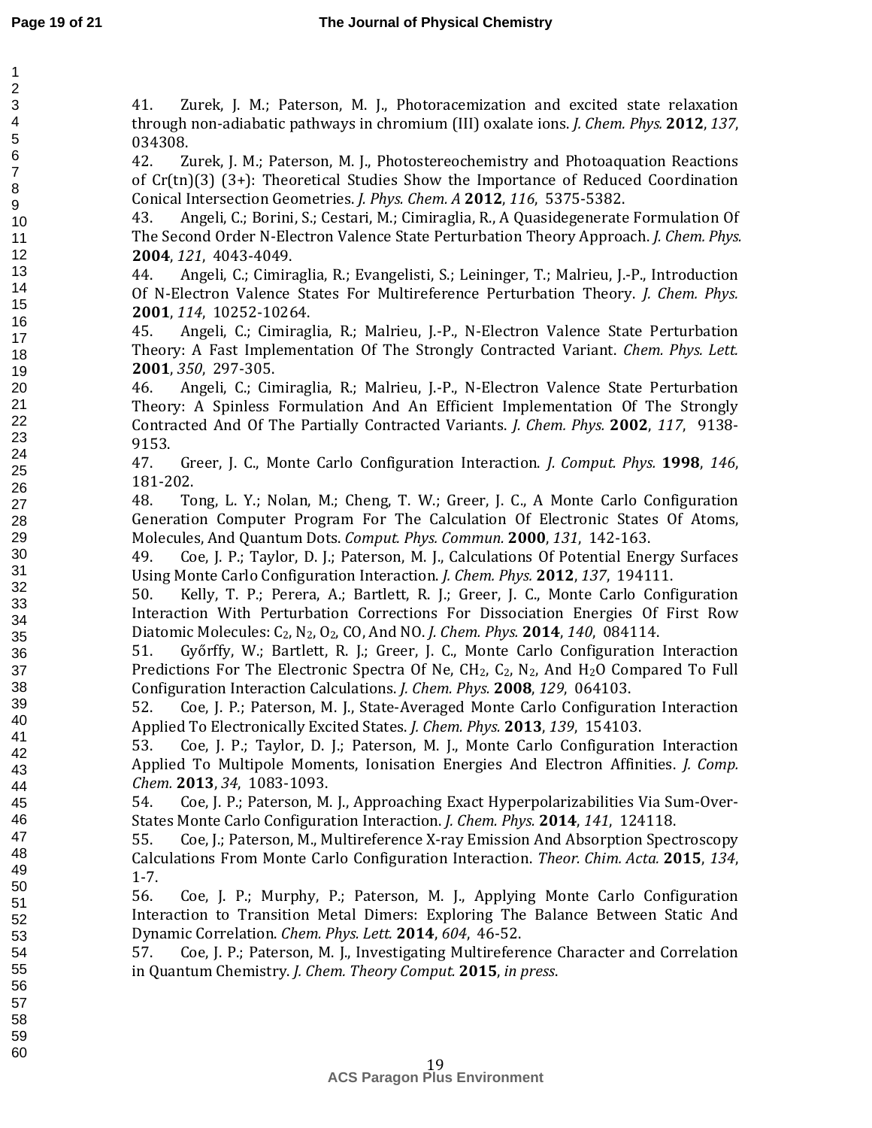60

41. Zurek, J. M.; Paterson, M. J., Photoracemization and excited state relaxation through non-adiabatic pathways in chromium (III) oxalate ions. *J. Chem. Phys.* **2012**, *137*, 034308.

42. Zurek, J. M.; Paterson, M. J., Photostereochemistry and Photoaquation Reactions of Cr(tn)(3) (3+): Theoretical Studies Show the Importance of Reduced Coordination Conical Intersection Geometries. *J. Phys. Chem. A* **2012**, *116*, 5375-5382.

43. Angeli, C.; Borini, S.; Cestari, M.; Cimiraglia, R., A Quasidegenerate Formulation Of The Second Order N-Electron Valence State Perturbation Theory Approach. *J. Chem. Phys.*  **2004**, *121*, 4043-4049.

44. Angeli, C.; Cimiraglia, R.; Evangelisti, S.; Leininger, T.; Malrieu, J.-P., Introduction Of N-Electron Valence States For Multireference Perturbation Theory. *J. Chem. Phys.*  **2001**, *114*, 10252-10264.

45. Angeli, C.; Cimiraglia, R.; Malrieu, J.-P., N-Electron Valence State Perturbation Theory: A Fast Implementation Of The Strongly Contracted Variant. *Chem. Phys. Lett.*  **2001**, *350*, 297-305.

46. Angeli, C.; Cimiraglia, R.; Malrieu, J.-P., N-Electron Valence State Perturbation Theory: A Spinless Formulation And An Efficient Implementation Of The Strongly Contracted And Of The Partially Contracted Variants. *J. Chem. Phys.* **2002**, *117*, 9138- 9153.

47. Greer, J. C., Monte Carlo Configuration Interaction. *J. Comput. Phys.* **1998**, *146*, 181-202.

48. Tong, L. Y.; Nolan, M.; Cheng, T. W.; Greer, J. C., A Monte Carlo Configuration Generation Computer Program For The Calculation Of Electronic States Of Atoms, Molecules, And Quantum Dots. *Comput. Phys. Commun.* **2000**, *131*, 142-163.

49. Coe, J. P.; Taylor, D. J.; Paterson, M. J., Calculations Of Potential Energy Surfaces Using Monte Carlo Configuration Interaction. *J. Chem. Phys.* **2012**, *137*, 194111.

50. Kelly, T. P.; Perera, A.; Bartlett, R. J.; Greer, J. C., Monte Carlo Configuration Interaction With Perturbation Corrections For Dissociation Energies Of First Row Diatomic Molecules: C2, N2, O2, CO, And NO. *J. Chem. Phys.* **2014**, *140*, 084114.

51. Győrffy, W.; Bartlett, R. J.; Greer, J. C., Monte Carlo Configuration Interaction Predictions For The Electronic Spectra Of Ne,  $CH_2$ ,  $C_2$ ,  $N_2$ , And  $H_2O$  Compared To Full Configuration Interaction Calculations. *J. Chem. Phys.* **2008**, *129*, 064103.

52. Coe, J. P.; Paterson, M. J., State-Averaged Monte Carlo Configuration Interaction Applied To Electronically Excited States. *J. Chem. Phys.* **2013**, *139*, 154103.

53. Coe, J. P.; Taylor, D. J.; Paterson, M. J., Monte Carlo Configuration Interaction Applied To Multipole Moments, Ionisation Energies And Electron Affinities. *J. Comp. Chem.* **2013**, *34*, 1083-1093.

54. Coe, J. P.; Paterson, M. J., Approaching Exact Hyperpolarizabilities Via Sum-Over-States Monte Carlo Configuration Interaction. *J. Chem. Phys.* **2014**, *141*, 124118.

55. Coe, J.; Paterson, M., Multireference X-ray Emission And Absorption Spectroscopy Calculations From Monte Carlo Configuration Interaction. *Theor. Chim. Acta.* **2015**, *134*, 1-7.

56. Coe, J. P.; Murphy, P.; Paterson, M. J., Applying Monte Carlo Configuration Interaction to Transition Metal Dimers: Exploring The Balance Between Static And Dynamic Correlation. *Chem. Phys. Lett.* **2014**, *604*, 46-52.

57. Coe, J. P.; Paterson, M. J., Investigating Multireference Character and Correlation in Quantum Chemistry. *J. Chem. Theory Comput.* **2015**, *in press*.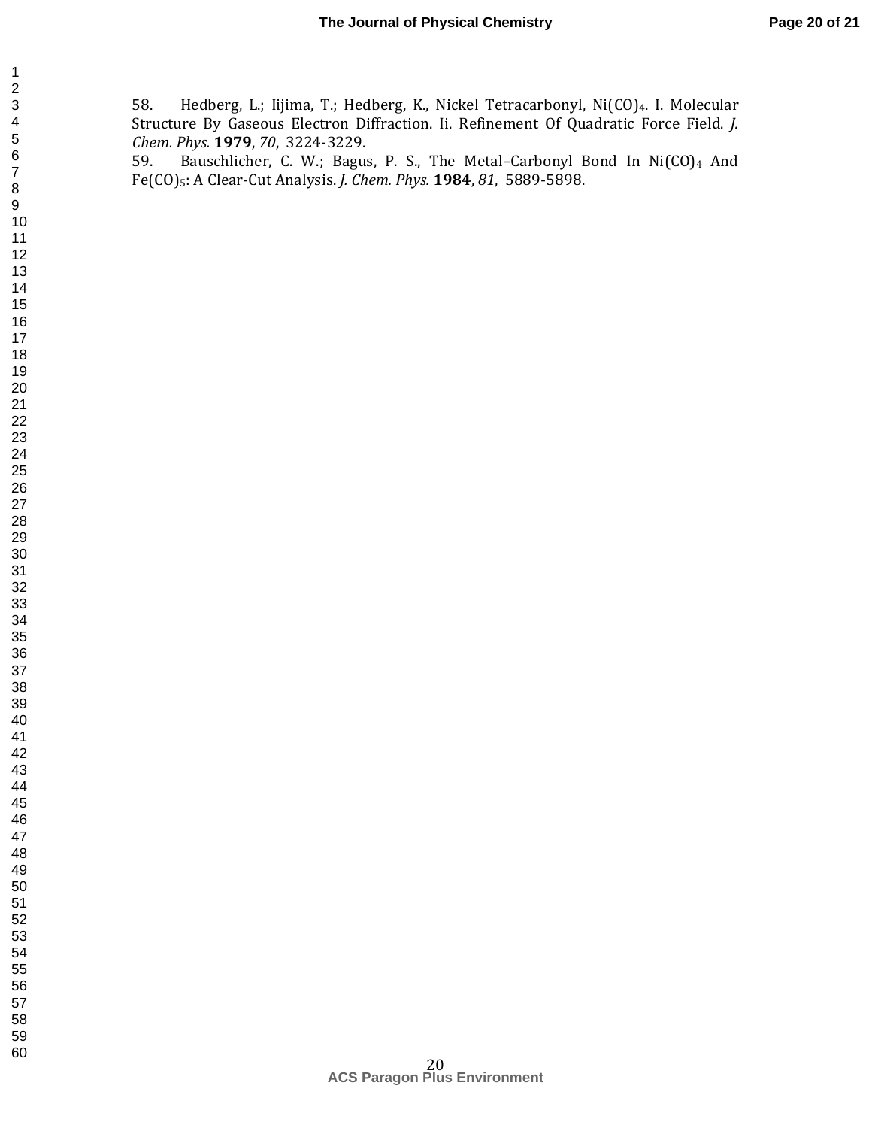58. Hedberg, L.; Iijima, T.; Hedberg, K., Nickel Tetracarbonyl, Ni(CO)4. I. Molecular Structure By Gaseous Electron Diffraction. Ii. Refinement Of Quadratic Force Field. *J. Chem. Phys.* **1979**, *70*, 3224-3229.

59. Bauschlicher, C. W.; Bagus, P. S., The Metal-Carbonyl Bond In Ni(CO)4 And Fe(CO)5: A Clear-Cut Analysis. *J. Chem. Phys.* **1984**, *81*, 5889-5898.